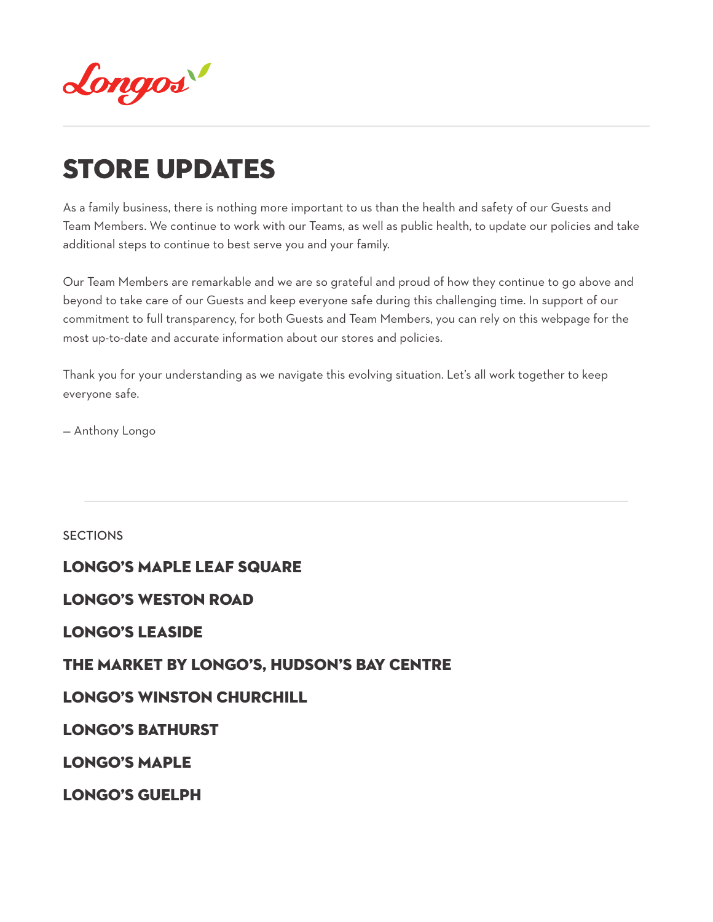

# STORE UPDATES

As a family business, there is nothing more important to us than the health and safety of our Guests and Team Members. We continue to work with our Teams, as well as public health, to update our policies and take additional steps to continue to best serve you and your family.

Our Team Members are remarkable and we are so grateful and proud of how they continue to go above and beyond to take care of our Guests and keep everyone safe during this challenging time. In support of our commitment to full transparency, for both Guests and Team Members, you can rely on this webpage for the most up-to-date and accurate information about our stores and policies.

Thank you for your understanding as we navigate this evolving situation. Let's all work together to keep everyone safe.

— Anthony Longo

**SECTIONS** 

### [Longo's Maple Leaf SQuare](#page-29-0)

[LONGO'S WESTON ROAD](#page-1-0) 

[Longo's LEASIDE](#page-11-0)

# [The market by Longo's, hudson's bay centre](#page-15-0)

# [Longo's Winston Churchill](#page-18-0)

[Longo's Bathurst](#page-21-0)

[Longo's Maple](#page-24-0) 

[LONGO'S GUELPH](#page-26-0)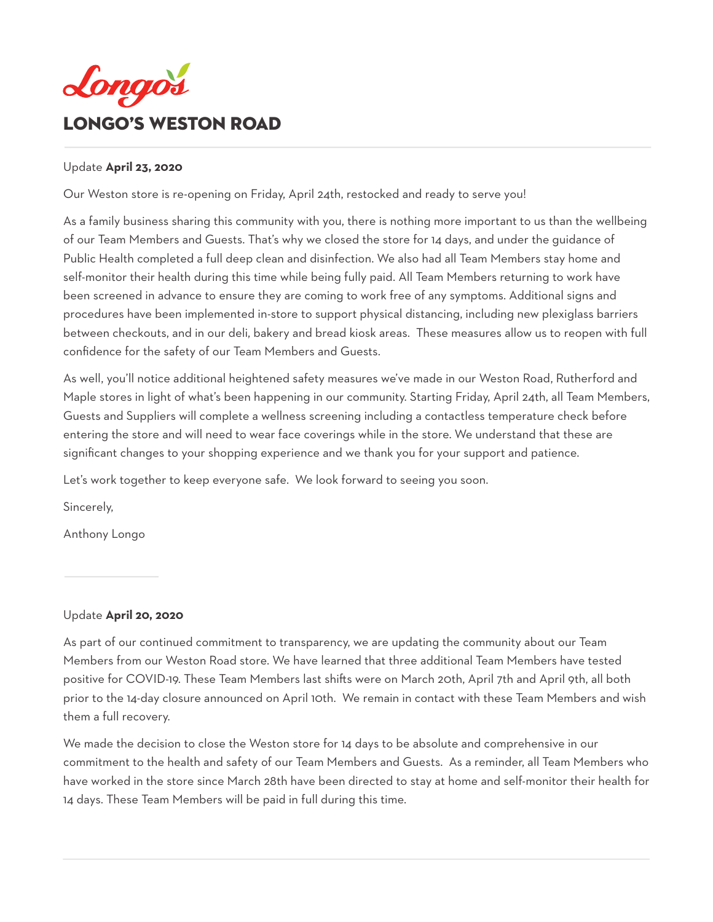<span id="page-1-0"></span>

### Update **April 23, 2020**

Our Weston store is re-opening on Friday, April 24th, restocked and ready to serve you!

As a family business sharing this community with you, there is nothing more important to us than the wellbeing of our Team Members and Guests. That's why we closed the store for 14 days, and under the guidance of Public Health completed a full deep clean and disinfection. We also had all Team Members stay home and self-monitor their health during this time while being fully paid. All Team Members returning to work have been screened in advance to ensure they are coming to work free of any symptoms. Additional signs and procedures have been implemented in-store to support physical distancing, including new plexiglass barriers between checkouts, and in our deli, bakery and bread kiosk areas. These measures allow us to reopen with full confidence for the safety of our Team Members and Guests.

As well, you'll notice additional heightened safety measures we've made in our Weston Road, Rutherford and Maple stores in light of what's been happening in our community. Starting Friday, April 24th, all Team Members, Guests and Suppliers will complete a wellness screening including a contactless temperature check before entering the store and will need to wear face coverings while in the store. We understand that these are significant changes to your shopping experience and we thank you for your support and patience.

Let's work together to keep everyone safe. We look forward to seeing you soon.

Sincerely,

Anthony Longo

### Update **April 20, 2020**

As part of our continued commitment to transparency, we are updating the community about our Team Members from our Weston Road store. We have learned that three additional Team Members have tested positive for COVID-19. These Team Members last shifts were on March 20th, April 7th and April 9th, all both prior to the 14-day closure announced on April 10th. We remain in contact with these Team Members and wish them a full recovery.

We made the decision to close the Weston store for 14 days to be absolute and comprehensive in our commitment to the health and safety of our Team Members and Guests. As a reminder, all Team Members who have worked in the store since March 28th have been directed to stay at home and self-monitor their health for 14 days. These Team Members will be paid in full during this time.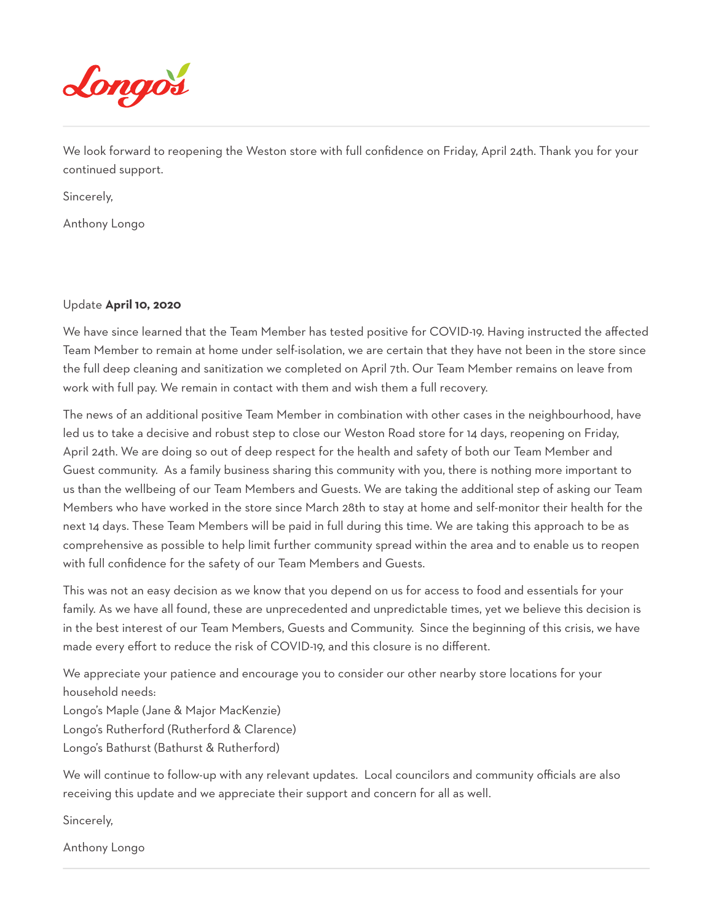

We look forward to reopening the Weston store with full confidence on Friday, April 24th. Thank you for your continued support.

Sincerely,

Anthony Longo

### Update **April 10, 2020**

We have since learned that the Team Member has tested positive for COVID-19. Having instructed the affected Team Member to remain at home under self-isolation, we are certain that they have not been in the store since the full deep cleaning and sanitization we completed on April 7th. Our Team Member remains on leave from work with full pay. We remain in contact with them and wish them a full recovery.

The news of an additional positive Team Member in combination with other cases in the neighbourhood, have led us to take a decisive and robust step to close our Weston Road store for 14 days, reopening on Friday, April 24th. We are doing so out of deep respect for the health and safety of both our Team Member and Guest community. As a family business sharing this community with you, there is nothing more important to us than the wellbeing of our Team Members and Guests. We are taking the additional step of asking our Team Members who have worked in the store since March 28th to stay at home and self-monitor their health for the next 14 days. These Team Members will be paid in full during this time. We are taking this approach to be as comprehensive as possible to help limit further community spread within the area and to enable us to reopen with full confidence for the safety of our Team Members and Guests.

This was not an easy decision as we know that you depend on us for access to food and essentials for your family. As we have all found, these are unprecedented and unpredictable times, yet we believe this decision is in the best interest of our Team Members, Guests and Community. Since the beginning of this crisis, we have made every effort to reduce the risk of COVID-19, and this closure is no different.

We appreciate your patience and encourage you to consider our other nearby store locations for your household needs:

Longo's Maple (Jane & Major MacKenzie) Longo's Rutherford (Rutherford & Clarence) Longo's Bathurst (Bathurst & Rutherford)

We will continue to follow-up with any relevant updates. Local councilors and community officials are also receiving this update and we appreciate their support and concern for all as well.

Sincerely,

Anthony Longo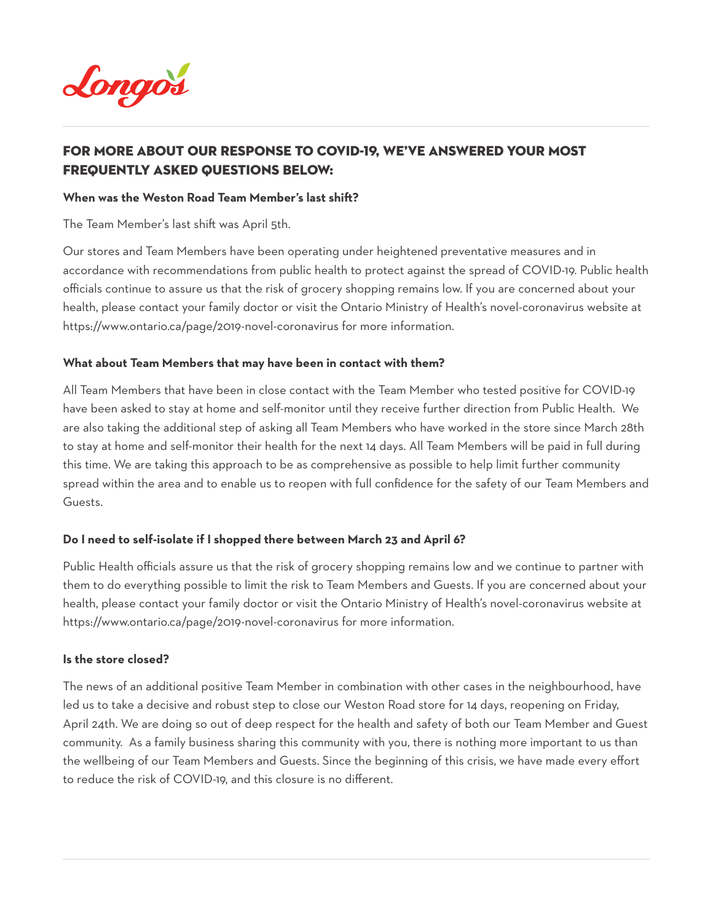

# For more about our response to COVID-19, we've answered your most Frequently Asked Questions below:

### **When was the Weston Road Team Member's last shift?**

The Team Member's last shift was April 5th.

Our stores and Team Members have been operating under heightened preventative measures and in accordance with recommendations from public health to protect against the spread of COVID-19. Public health officials continue to assure us that the risk of grocery shopping remains low. If you are concerned about your health, please contact your family doctor or visit the Ontario Ministry of Health's novel-coronavirus website at https://www.ontario.ca/page/2019-novel-coronavirus for more information.

### **What about Team Members that may have been in contact with them?**

All Team Members that have been in close contact with the Team Member who tested positive for COVID-19 have been asked to stay at home and self-monitor until they receive further direction from Public Health. We are also taking the additional step of asking all Team Members who have worked in the store since March 28th to stay at home and self-monitor their health for the next 14 days. All Team Members will be paid in full during this time. We are taking this approach to be as comprehensive as possible to help limit further community spread within the area and to enable us to reopen with full confidence for the safety of our Team Members and Guests.

### **Do I need to self-isolate if I shopped there between March 23 and April 6?**

Public Health officials assure us that the risk of grocery shopping remains low and we continue to partner with them to do everything possible to limit the risk to Team Members and Guests. If you are concerned about your health, please contact your family doctor or visit the Ontario Ministry of Health's novel-coronavirus website at https://www.ontario.ca/page/2019-novel-coronavirus for more information.

#### **Is the store closed?**

The news of an additional positive Team Member in combination with other cases in the neighbourhood, have led us to take a decisive and robust step to close our Weston Road store for 14 days, reopening on Friday, April 24th. We are doing so out of deep respect for the health and safety of both our Team Member and Guest community. As a family business sharing this community with you, there is nothing more important to us than the wellbeing of our Team Members and Guests. Since the beginning of this crisis, we have made every effort to reduce the risk of COVID-19, and this closure is no different.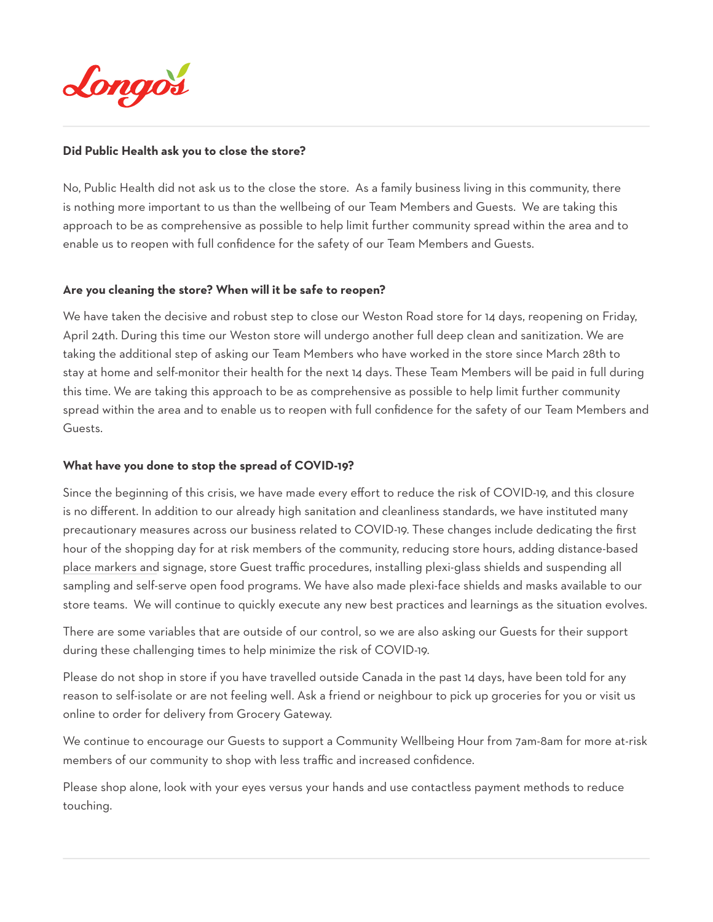

### **Did Public Health ask you to close the store?**

No, Public Health did not ask us to the close the store. As a family business living in this community, there is nothing more important to us than the wellbeing of our Team Members and Guests. We are taking this approach to be as comprehensive as possible to help limit further community spread within the area and to enable us to reopen with full confidence for the safety of our Team Members and Guests.

### **Are you cleaning the store? When will it be safe to reopen?**

We have taken the decisive and robust step to close our Weston Road store for 14 days, reopening on Friday, April 24th. During this time our Weston store will undergo another full deep clean and sanitization. We are taking the additional step of asking our Team Members who have worked in the store since March 28th to stay at home and self-monitor their health for the next 14 days. These Team Members will be paid in full during this time. We are taking this approach to be as comprehensive as possible to help limit further community spread within the area and to enable us to reopen with full confidence for the safety of our Team Members and Guests.

### **What have you done to stop the spread of COVID-19?**

Since the beginning of this crisis, we have made every effort to reduce the risk of COVID-19, and this closure is no different. In addition to our already high sanitation and cleanliness standards, we have instituted many precautionary measures across our business related to COVID-19. These changes include dedicating the first hour of the shopping day for at risk members of the community, reducing store hours, adding distance-based place markers and signage, store Guest traffic procedures, installing plexi-glass shields and suspending all sampling and self-serve open food programs. We have also made plexi-face shields and masks available to our store teams. We will continue to quickly execute any new best practices and learnings as the situation evolves.

There are some variables that are outside of our control, so we are also asking our Guests for their support during these challenging times to help minimize the risk of COVID-19.

Please do not shop in store if you have travelled outside Canada in the past 14 days, have been told for any reason to self-isolate or are not feeling well. Ask a friend or neighbour to pick up groceries for you or visit us online to order for delivery from Grocery Gateway.

We continue to encourage our Guests to support a Community Wellbeing Hour from 7am-8am for more at-risk members of our community to shop with less traffic and increased confidence.

Please shop alone, look with your eyes versus your hands and use contactless payment methods to reduce touching.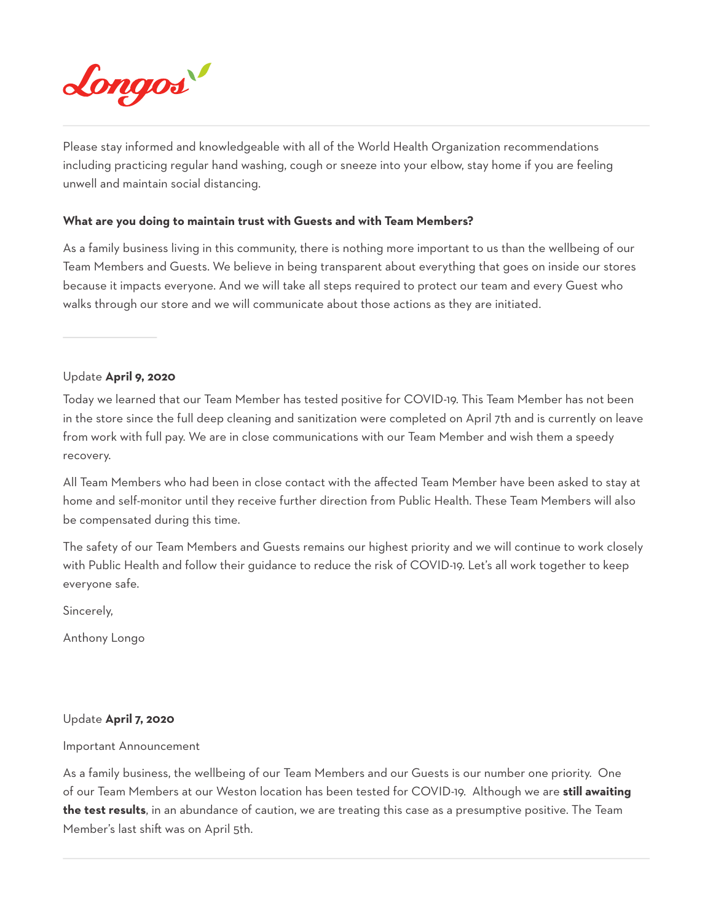

Please stay informed and knowledgeable with all of the World Health Organization recommendations including practicing regular hand washing, cough or sneeze into your elbow, stay home if you are feeling unwell and maintain social distancing.

### **What are you doing to maintain trust with Guests and with Team Members?**

As a family business living in this community, there is nothing more important to us than the wellbeing of our Team Members and Guests. We believe in being transparent about everything that goes on inside our stores because it impacts everyone. And we will take all steps required to protect our team and every Guest who walks through our store and we will communicate about those actions as they are initiated.

Update **April 9, 2020** 

Today we learned that our Team Member has tested positive for COVID-19. This Team Member has not been in the store since the full deep cleaning and sanitization were completed on April 7th and is currently on leave from work with full pay. We are in close communications with our Team Member and wish them a speedy recovery.

All Team Members who had been in close contact with the affected Team Member have been asked to stay at home and self-monitor until they receive further direction from Public Health. These Team Members will also be compensated during this time.

The safety of our Team Members and Guests remains our highest priority and we will continue to work closely with Public Health and follow their guidance to reduce the risk of COVID-19. Let's all work together to keep everyone safe.

Sincerely,

Anthony Longo

#### Update **April 7, 2020**

#### Important Announcement

As a family business, the wellbeing of our Team Members and our Guests is our number one priority. One of our Team Members at our Weston location has been tested for COVID-19. Although we are **still awaiting the test results**, in an abundance of caution, we are treating this case as a presumptive positive. The Team Member's last shift was on April 5th.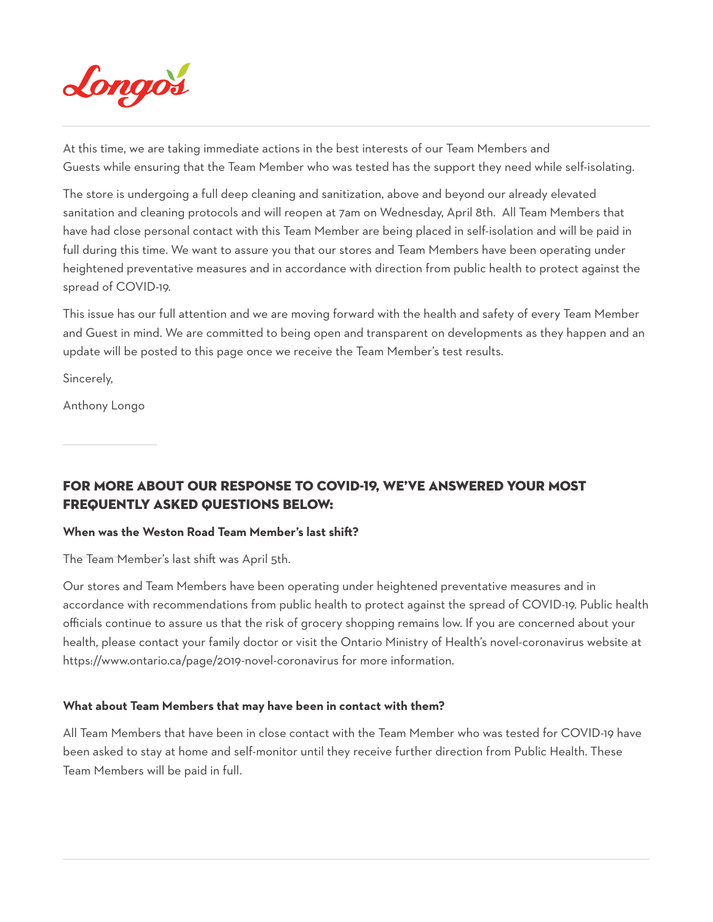

At this time, we are taking immediate actions in the best interests of our Team Members and Guests while ensuring that the Team Member who was tested has the support they need while self-isolating.

The store is undergoing a full deep cleaning and sanitization, above and beyond our already elevated sanitation and cleaning protocols and will reopen at 7am on Wednesday, April 8th. All Team Members that have had close personal contact with this Team Member are being placed in self-isolation and will be paid in full during this time. We want to assure you that our stores and Team Members have been operating under heightened preventative measures and in accordance with direction from public health to protect against the spread of COVID-19.

This issue has our full attention and we are moving forward with the health and safety of every Team Member and Guest in mind. We are committed to being open and transparent on developments as they happen and an update will be posted to this page once we receive the Team Member's test results.

Sincerely,

Anthony Longo

For more about our response to COVID-19, we've answered your most Frequently Asked Questions below:

### **When was the Weston Road Team Member's last shift?**

The Team Member's last shift was April 5th.

Our stores and Team Members have been operating under heightened preventative measures and in accordance with recommendations from public health to protect against the spread of COVID-19. Public health officials continue to assure us that the risk of grocery shopping remains low. If you are concerned about your health, please contact your family doctor or visit the Ontario Ministry of Health's novel-coronavirus website at https://www.ontario.ca/page/2019-novel-coronavirus for more information.

### **What about Team Members that may have been in contact with them?**

All Team Members that have been in close contact with the Team Member who was tested for COVID-19 have been asked to stay at home and self-monitor until they receive further direction from Public Health. These Team Members will be paid in full.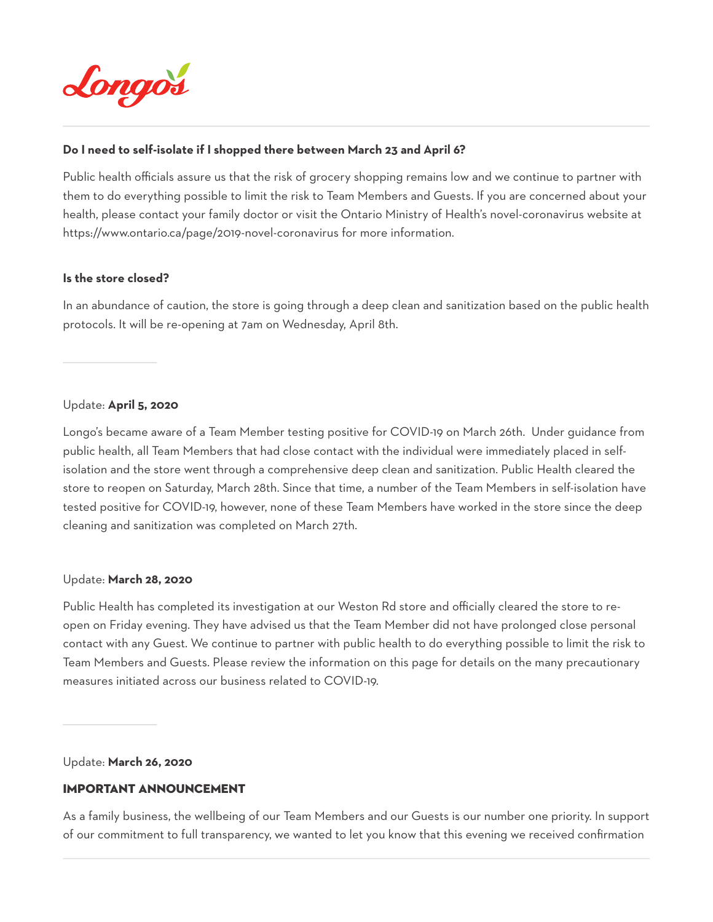

### **Do I need to self-isolate if I shopped there between March 23 and April 6?**

Public health officials assure us that the risk of grocery shopping remains low and we continue to partner with them to do everything possible to limit the risk to Team Members and Guests. If you are concerned about your health, please contact your family doctor or visit the Ontario Ministry of Health's novel-coronavirus website at https://www.ontario.ca/page/2019-novel-coronavirus for more information.

### **Is the store closed?**

In an abundance of caution, the store is going through a deep clean and sanitization based on the public health protocols. It will be re-opening at 7am on Wednesday, April 8th.

### Update: **April 5, 2020**

Longo's became aware of a Team Member testing positive for COVID-19 on March 26th. Under guidance from public health, all Team Members that had close contact with the individual were immediately placed in selfisolation and the store went through a comprehensive deep clean and sanitization. Public Health cleared the store to reopen on Saturday, March 28th. Since that time, a number of the Team Members in self-isolation have tested positive for COVID-19, however, none of these Team Members have worked in the store since the deep cleaning and sanitization was completed on March 27th.

### Update: **March 28, 2020**

Public Health has completed its investigation at our Weston Rd store and officially cleared the store to reopen on Friday evening. They have advised us that the Team Member did not have prolonged close personal contact with any Guest. We continue to partner with public health to do everything possible to limit the risk to Team Members and Guests. Please review the information on this page for details on the many precautionary measures initiated across our business related to COVID-19.

Update: **March 26, 2020**

### IMPORTANT ANNOUNCEMENT

As a family business, the wellbeing of our Team Members and our Guests is our number one priority. In support of our commitment to full transparency, we wanted to let you know that this evening we received confirmation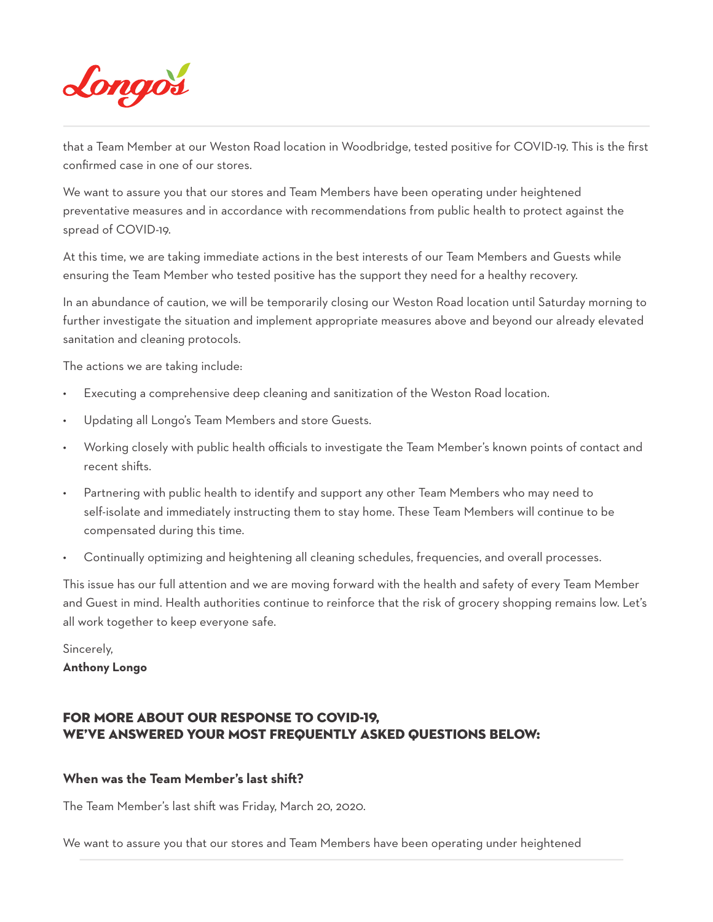

that a Team Member at our Weston Road location in Woodbridge, tested positive for COVID-19. This is the first confirmed case in one of our stores.

We want to assure you that our stores and Team Members have been operating under heightened preventative measures and in accordance with recommendations from public health to protect against the spread of COVID-19.

At this time, we are taking immediate actions in the best interests of our Team Members and Guests while ensuring the Team Member who tested positive has the support they need for a healthy recovery.

In an abundance of caution, we will be temporarily closing our Weston Road location until Saturday morning to further investigate the situation and implement appropriate measures above and beyond our already elevated sanitation and cleaning protocols.

The actions we are taking include:

- Executing a comprehensive deep cleaning and sanitization of the Weston Road location.
- Updating all Longo's Team Members and store Guests.
- Working closely with public health officials to investigate the Team Member's known points of contact and recent shifts.
- Partnering with public health to identify and support any other Team Members who may need to self-isolate and immediately instructing them to stay home. These Team Members will continue to be compensated during this time.
- Continually optimizing and heightening all cleaning schedules, frequencies, and overall processes.

This issue has our full attention and we are moving forward with the health and safety of every Team Member and Guest in mind. Health authorities continue to reinforce that the risk of grocery shopping remains low. Let's all work together to keep everyone safe.

Sincerely, **Anthony Longo** 

# For more about our response to COVID-19, we've answered your most Frequently Asked Questions below:

### **When was the Team Member's last shift?**

The Team Member's last shift was Friday, March 20, 2020.

We want to assure you that our stores and Team Members have been operating under heightened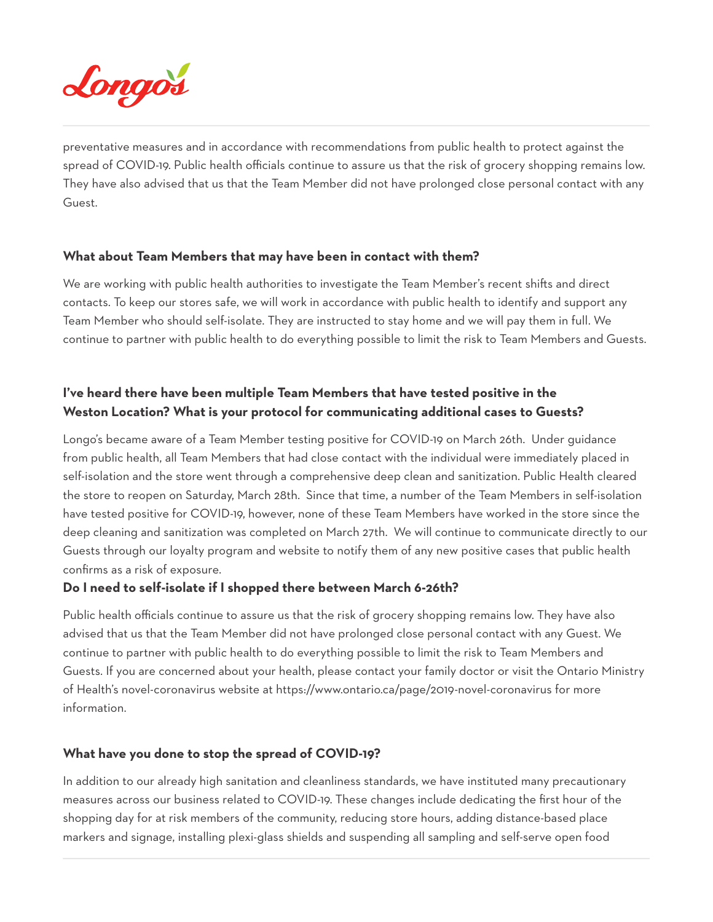

preventative measures and in accordance with recommendations from public health to protect against the spread of COVID-19. Public health officials continue to assure us that the risk of grocery shopping remains low. They have also advised that us that the Team Member did not have prolonged close personal contact with any Guest.

### **What about Team Members that may have been in contact with them?**

We are working with public health authorities to investigate the Team Member's recent shifts and direct contacts. To keep our stores safe, we will work in accordance with public health to identify and support any Team Member who should self-isolate. They are instructed to stay home and we will pay them in full. We continue to partner with public health to do everything possible to limit the risk to Team Members and Guests.

# **I've heard there have been multiple Team Members that have tested positive in the Weston Location? What is your protocol for communicating additional cases to Guests?**

Longo's became aware of a Team Member testing positive for COVID-19 on March 26th. Under guidance from public health, all Team Members that had close contact with the individual were immediately placed in self-isolation and the store went through a comprehensive deep clean and sanitization. Public Health cleared the store to reopen on Saturday, March 28th. Since that time, a number of the Team Members in self-isolation have tested positive for COVID-19, however, none of these Team Members have worked in the store since the deep cleaning and sanitization was completed on March 27th. We will continue to communicate directly to our Guests through our loyalty program and website to notify them of any new positive cases that public health confirms as a risk of exposure.

### **Do I need to self-isolate if I shopped there between March 6-26th?**

Public health officials continue to assure us that the risk of grocery shopping remains low. They have also advised that us that the Team Member did not have prolonged close personal contact with any Guest. We continue to partner with public health to do everything possible to limit the risk to Team Members and Guests. If you are concerned about your health, please contact your family doctor or visit the Ontario Ministry of Health's novel-coronavirus website at https://www.ontario.ca/page/2019-novel-coronavirus for more information.

### **What have you done to stop the spread of COVID-19?**

In addition to our already high sanitation and cleanliness standards, we have instituted many precautionary measures across our business related to COVID-19. These changes include dedicating the first hour of the shopping day for at risk members of the community, reducing store hours, adding distance-based place markers and signage, installing plexi-glass shields and suspending all sampling and self-serve open food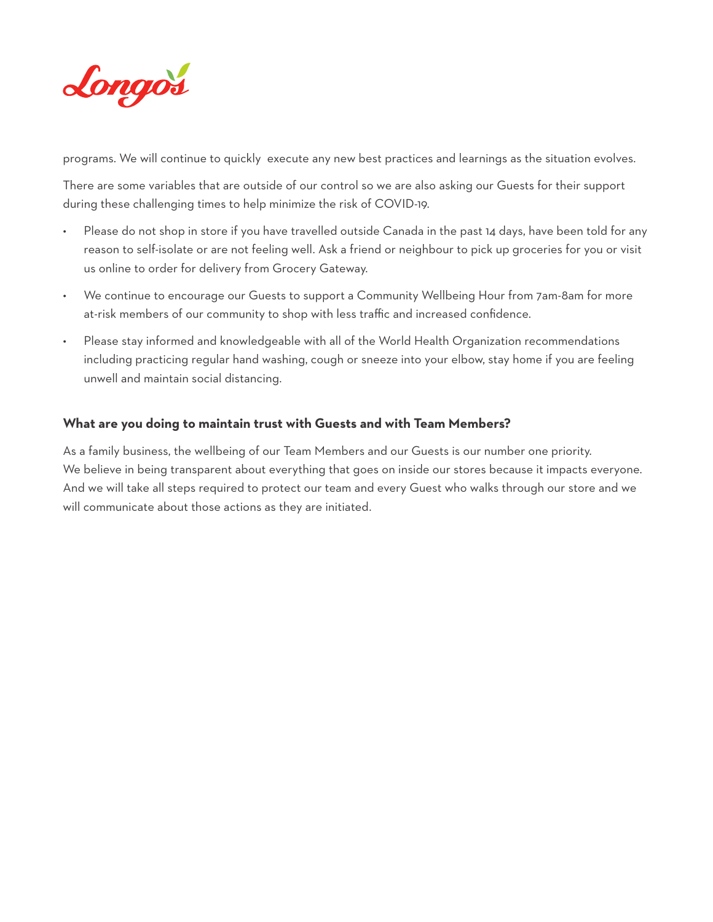

programs. We will continue to quickly execute any new best practices and learnings as the situation evolves.

There are some variables that are outside of our control so we are also asking our Guests for their support during these challenging times to help minimize the risk of COVID-19.

- Please do not shop in store if you have travelled outside Canada in the past 14 days, have been told for any reason to self-isolate or are not feeling well. Ask a friend or neighbour to pick up groceries for you or visit us online to order for delivery from Grocery Gateway.
- We continue to encourage our Guests to support a Community Wellbeing Hour from 7am-8am for more at-risk members of our community to shop with less traffic and increased confidence.
- Please stay informed and knowledgeable with all of the World Health Organization recommendations including practicing regular hand washing, cough or sneeze into your elbow, stay home if you are feeling unwell and maintain social distancing.

### **What are you doing to maintain trust with Guests and with Team Members?**

As a family business, the wellbeing of our Team Members and our Guests is our number one priority. We believe in being transparent about everything that goes on inside our stores because it impacts everyone. And we will take all steps required to protect our team and every Guest who walks through our store and we will communicate about those actions as they are initiated.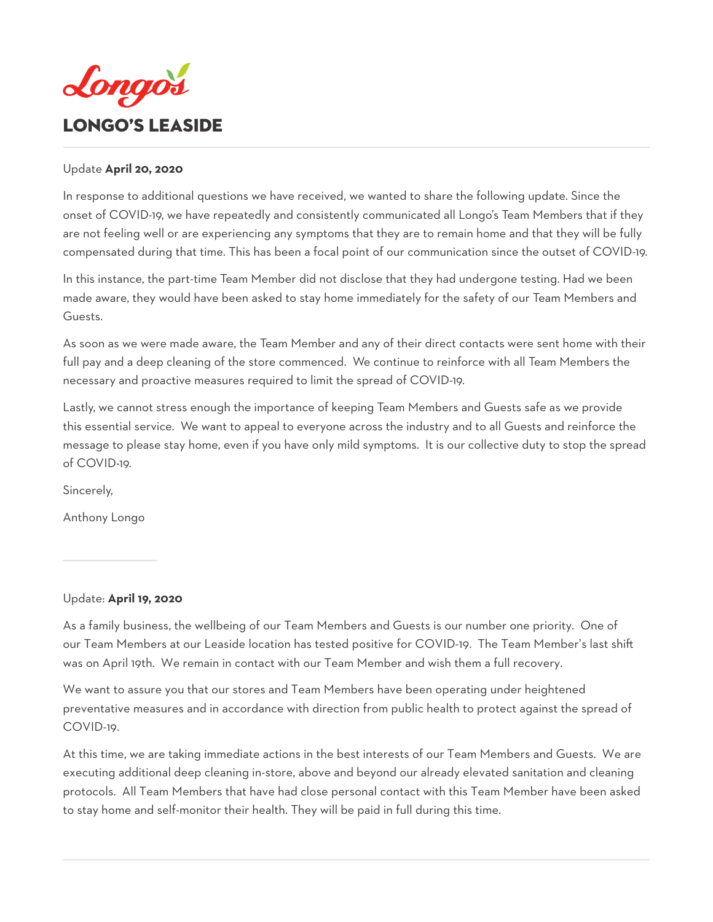<span id="page-11-0"></span>

### Update **April 20, 2020**

In response to additional questions we have received, we wanted to share the following update. Since the onset of COVID-19, we have repeatedly and consistently communicated all Longo's Team Members that if they are not feeling well or are experiencing any symptoms that they are to remain home and that they will be fully compensated during that time. This has been a focal point of our communication since the outset of COVID-19.

In this instance, the part-time Team Member did not disclose that they had undergone testing. Had we been made aware, they would have been asked to stay home immediately for the safety of our Team Members and Guests.

As soon as we were made aware, the Team Member and any of their direct contacts were sent home with their full pay and a deep cleaning of the store commenced. We continue to reinforce with all Team Members the necessary and proactive measures required to limit the spread of COVID-19.

Lastly, we cannot stress enough the importance of keeping Team Members and Guests safe as we provide this essential service. We want to appeal to everyone across the industry and to all Guests and reinforce the message to please stay home, even if you have only mild symptoms. It is our collective duty to stop the spread of COVID-19.

Sincerely,

Anthony Longo

### Update: **April 19, 2020**

As a family business, the wellbeing of our Team Members and Guests is our number one priority. One of our Team Members at our Leaside location has tested positive for COVID-19. The Team Member's last shift was on April 19th. We remain in contact with our Team Member and wish them a full recovery.

We want to assure you that our stores and Team Members have been operating under heightened preventative measures and in accordance with direction from public health to protect against the spread of COVID-19.

At this time, we are taking immediate actions in the best interests of our Team Members and Guests. We are executing additional deep cleaning in-store, above and beyond our already elevated sanitation and cleaning protocols. All Team Members that have had close personal contact with this Team Member have been asked to stay home and self-monitor their health. They will be paid in full during this time.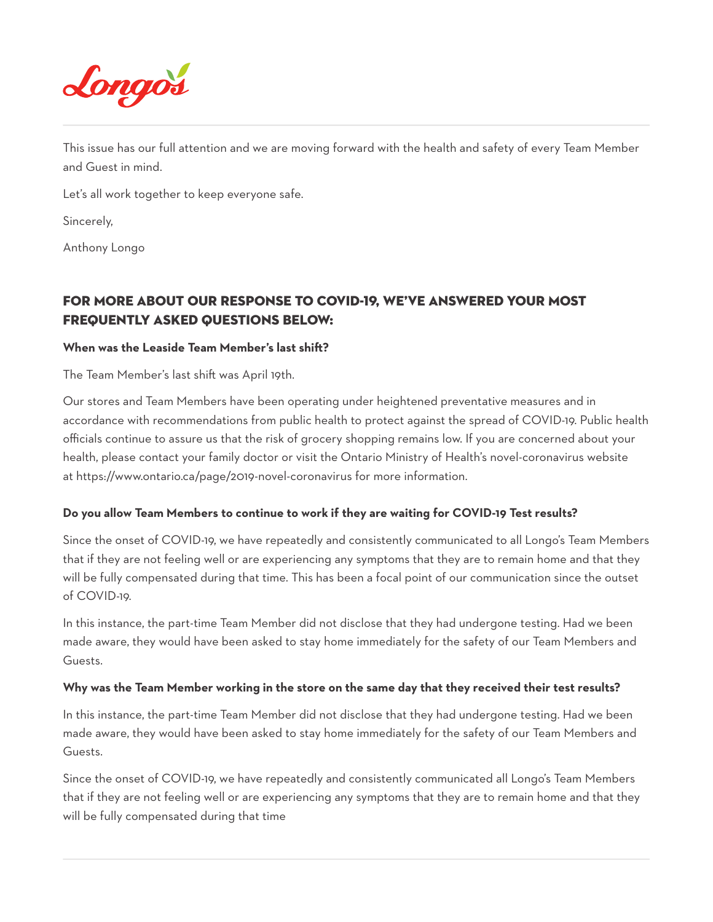

This issue has our full attention and we are moving forward with the health and safety of every Team Member and Guest in mind.

Let's all work together to keep everyone safe.

Sincerely,

Anthony Longo

# FOr more about our response to COVID-19, we've answered your most Frequently Asked Questions below:

### **When was the Leaside Team Member's last shift?**

The Team Member's last shift was April 19th.

Our stores and Team Members have been operating under heightened preventative measures and in accordance with recommendations from public health to protect against the spread of COVID-19. Public health officials continue to assure us that the risk of grocery shopping remains low. If you are concerned about your health, please contact your family doctor or visit the Ontario Ministry of Health's novel-coronavirus website at https://www.ontario.ca/page/2019-novel-coronavirus for more information.

### **Do you allow Team Members to continue to work if they are waiting for COVID-19 Test results?**

Since the onset of COVID-19, we have repeatedly and consistently communicated to all Longo's Team Members that if they are not feeling well or are experiencing any symptoms that they are to remain home and that they will be fully compensated during that time. This has been a focal point of our communication since the outset of COVID-19.

In this instance, the part-time Team Member did not disclose that they had undergone testing. Had we been made aware, they would have been asked to stay home immediately for the safety of our Team Members and Guests.

### **Why was the Team Member working in the store on the same day that they received their test results?**

In this instance, the part-time Team Member did not disclose that they had undergone testing. Had we been made aware, they would have been asked to stay home immediately for the safety of our Team Members and Guests.

Since the onset of COVID-19, we have repeatedly and consistently communicated all Longo's Team Members that if they are not feeling well or are experiencing any symptoms that they are to remain home and that they will be fully compensated during that time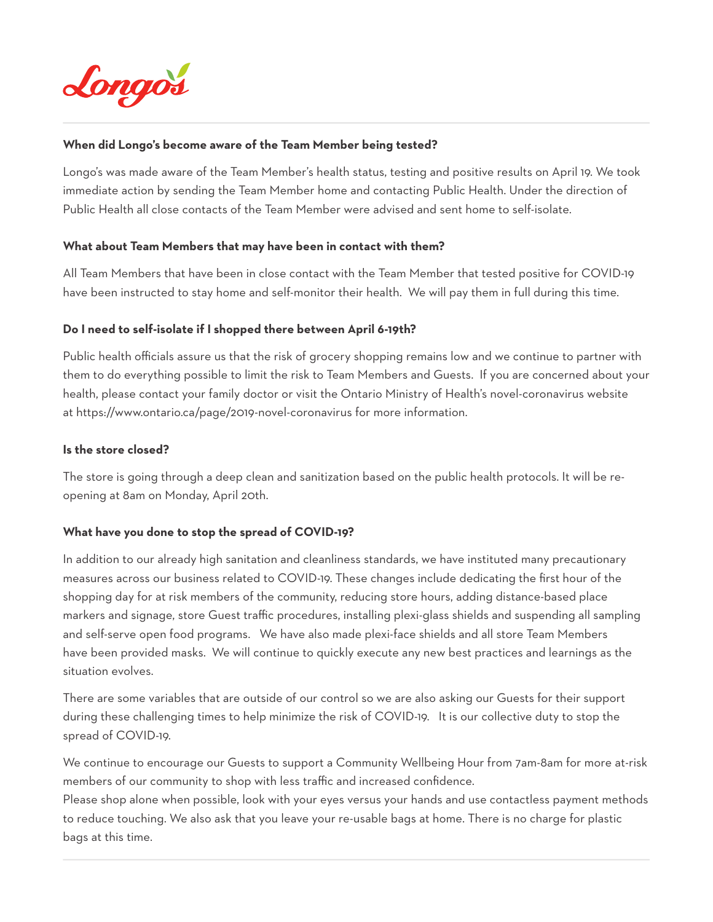

### **When did Longo's become aware of the Team Member being tested?**

Longo's was made aware of the Team Member's health status, testing and positive results on April 19. We took immediate action by sending the Team Member home and contacting Public Health. Under the direction of Public Health all close contacts of the Team Member were advised and sent home to self-isolate.

### **What about Team Members that may have been in contact with them?**

All Team Members that have been in close contact with the Team Member that tested positive for COVID-19 have been instructed to stay home and self-monitor their health. We will pay them in full during this time.

### **Do I need to self-isolate if I shopped there between April 6-19th?**

Public health officials assure us that the risk of grocery shopping remains low and we continue to partner with them to do everything possible to limit the risk to Team Members and Guests. If you are concerned about your health, please contact your family doctor or visit the Ontario Ministry of Health's novel-coronavirus website at https://www.ontario.ca/page/2019-novel-coronavirus for more information.

### **Is the store closed?**

The store is going through a deep clean and sanitization based on the public health protocols. It will be reopening at 8am on Monday, April 20th.

### **What have you done to stop the spread of COVID-19?**

In addition to our already high sanitation and cleanliness standards, we have instituted many precautionary measures across our business related to COVID-19. These changes include dedicating the first hour of the shopping day for at risk members of the community, reducing store hours, adding distance-based place markers and signage, store Guest traffic procedures, installing plexi-glass shields and suspending all sampling and self-serve open food programs. We have also made plexi-face shields and all store Team Members have been provided masks. We will continue to quickly execute any new best practices and learnings as the situation evolves.

There are some variables that are outside of our control so we are also asking our Guests for their support during these challenging times to help minimize the risk of COVID-19. It is our collective duty to stop the spread of COVID-19.

We continue to encourage our Guests to support a Community Wellbeing Hour from 7am-8am for more at-risk members of our community to shop with less traffic and increased confidence.

Please shop alone when possible, look with your eyes versus your hands and use contactless payment methods to reduce touching. We also ask that you leave your re-usable bags at home. There is no charge for plastic bags at this time.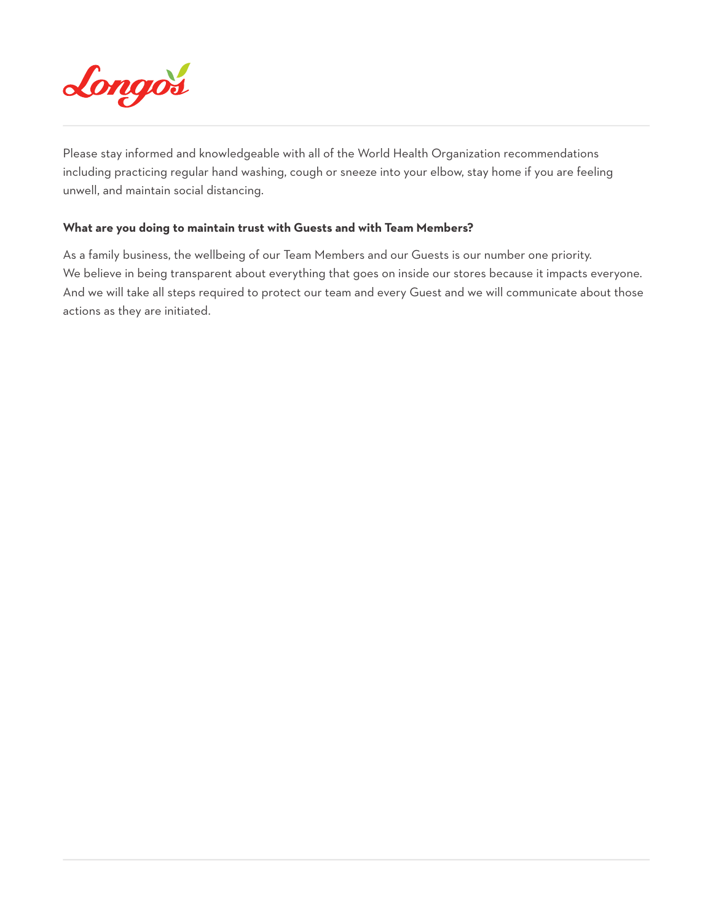

Please stay informed and knowledgeable with all of the World Health Organization recommendations including practicing regular hand washing, cough or sneeze into your elbow, stay home if you are feeling unwell, and maintain social distancing.

### **What are you doing to maintain trust with Guests and with Team Members?**

As a family business, the wellbeing of our Team Members and our Guests is our number one priority. We believe in being transparent about everything that goes on inside our stores because it impacts everyone. And we will take all steps required to protect our team and every Guest and we will communicate about those actions as they are initiated.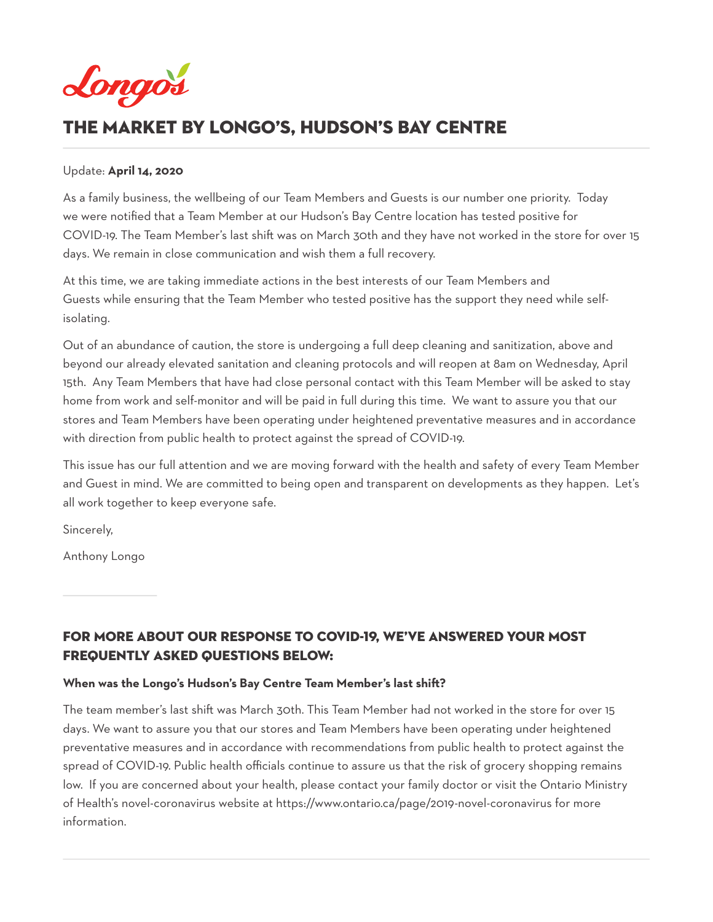<span id="page-15-0"></span>

# The Market by Longo's, HuDSON's BAY CenTRE

### Update: **April 14, 2020**

As a family business, the wellbeing of our Team Members and Guests is our number one priority. Today we were notified that a Team Member at our Hudson's Bay Centre location has tested positive for COVID-19. The Team Member's last shift was on March 30th and they have not worked in the store for over 15 days. We remain in close communication and wish them a full recovery.

At this time, we are taking immediate actions in the best interests of our Team Members and Guests while ensuring that the Team Member who tested positive has the support they need while selfisolating.

Out of an abundance of caution, the store is undergoing a full deep cleaning and sanitization, above and beyond our already elevated sanitation and cleaning protocols and will reopen at 8am on Wednesday, April 15th. Any Team Members that have had close personal contact with this Team Member will be asked to stay home from work and self-monitor and will be paid in full during this time. We want to assure you that our stores and Team Members have been operating under heightened preventative measures and in accordance with direction from public health to protect against the spread of COVID-19.

This issue has our full attention and we are moving forward with the health and safety of every Team Member and Guest in mind. We are committed to being open and transparent on developments as they happen. Let's all work together to keep everyone safe.

Sincerely,

Anthony Longo

# FOr more about our response to COVID-19, we've answered your most Frequently Asked Questions below:

### **When was the Longo's Hudson's Bay Centre Team Member's last shift?**

The team member's last shift was March 30th. This Team Member had not worked in the store for over 15 days. We want to assure you that our stores and Team Members have been operating under heightened preventative measures and in accordance with recommendations from public health to protect against the spread of COVID-19. Public health officials continue to assure us that the risk of grocery shopping remains low. If you are concerned about your health, please contact your family doctor or visit the Ontario Ministry of Health's novel-coronavirus website at https://www.ontario.ca/page/2019-novel-coronavirus for more information.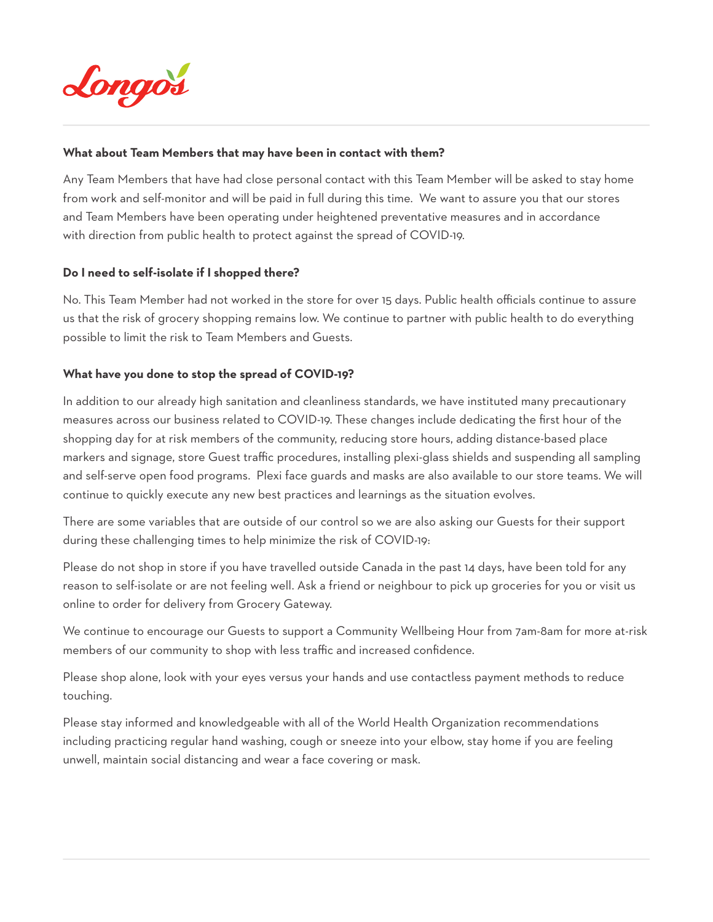

### **What about Team Members that may have been in contact with them?**

Any Team Members that have had close personal contact with this Team Member will be asked to stay home from work and self-monitor and will be paid in full during this time. We want to assure you that our stores and Team Members have been operating under heightened preventative measures and in accordance with direction from public health to protect against the spread of COVID-19.

### **Do I need to self-isolate if I shopped there?**

No. This Team Member had not worked in the store for over 15 days. Public health officials continue to assure us that the risk of grocery shopping remains low. We continue to partner with public health to do everything possible to limit the risk to Team Members and Guests.

### **What have you done to stop the spread of COVID-19?**

In addition to our already high sanitation and cleanliness standards, we have instituted many precautionary measures across our business related to COVID-19. These changes include dedicating the first hour of the shopping day for at risk members of the community, reducing store hours, adding distance-based place markers and signage, store Guest traffic procedures, installing plexi-glass shields and suspending all sampling and self-serve open food programs. Plexi face guards and masks are also available to our store teams. We will continue to quickly execute any new best practices and learnings as the situation evolves.

There are some variables that are outside of our control so we are also asking our Guests for their support during these challenging times to help minimize the risk of COVID-19:

Please do not shop in store if you have travelled outside Canada in the past 14 days, have been told for any reason to self-isolate or are not feeling well. Ask a friend or neighbour to pick up groceries for you or visit us online to order for delivery from Grocery Gateway.

We continue to encourage our Guests to support a Community Wellbeing Hour from 7am-8am for more at-risk members of our community to shop with less traffic and increased confidence.

Please shop alone, look with your eyes versus your hands and use contactless payment methods to reduce touching.

Please stay informed and knowledgeable with all of the World Health Organization recommendations including practicing regular hand washing, cough or sneeze into your elbow, stay home if you are feeling unwell, maintain social distancing and wear a face covering or mask.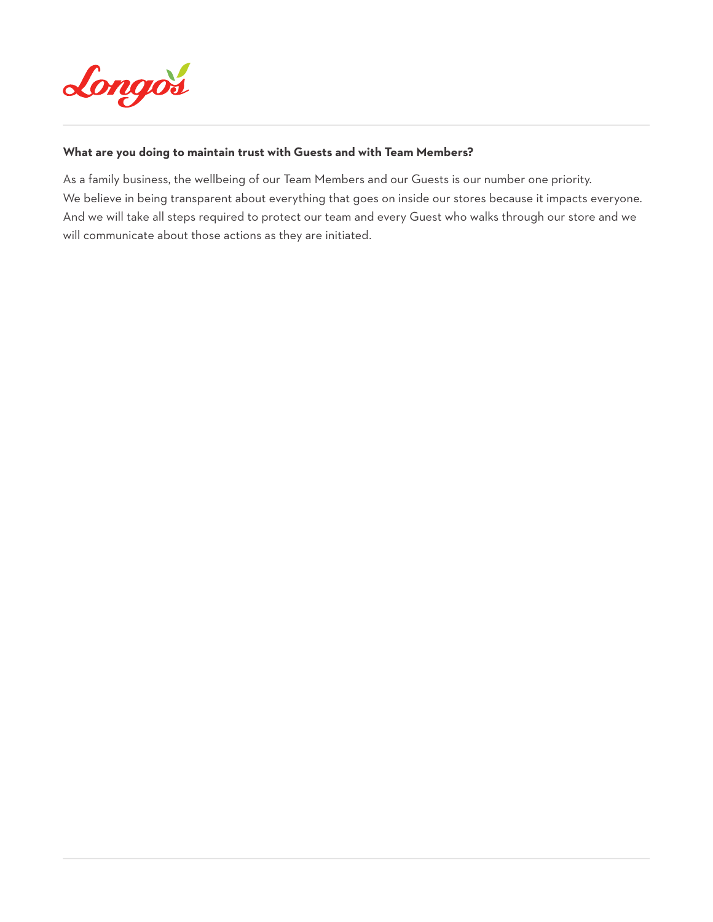

### **What are you doing to maintain trust with Guests and with Team Members?**

As a family business, the wellbeing of our Team Members and our Guests is our number one priority. We believe in being transparent about everything that goes on inside our stores because it impacts everyone. And we will take all steps required to protect our team and every Guest who walks through our store and we will communicate about those actions as they are initiated.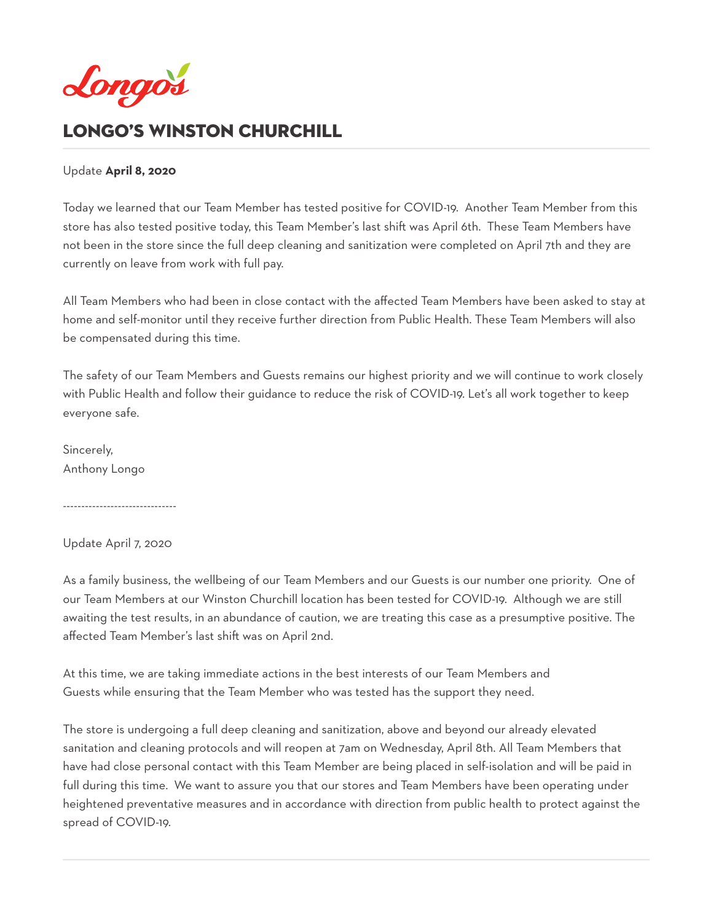<span id="page-18-0"></span>

# LONGO'S WINSTON CHURCHILL

### Update **April 8, 2020**

Today we learned that our Team Member has tested positive for COVID-19. Another Team Member from this store has also tested positive today, this Team Member's last shift was April 6th. These Team Members have not been in the store since the full deep cleaning and sanitization were completed on April 7th and they are currently on leave from work with full pay.

All Team Members who had been in close contact with the affected Team Members have been asked to stay at home and self-monitor until they receive further direction from Public Health. These Team Members will also be compensated during this time.

The safety of our Team Members and Guests remains our highest priority and we will continue to work closely with Public Health and follow their guidance to reduce the risk of COVID-19. Let's all work together to keep everyone safe.

Sincerely, Anthony Longo

-------------------------------

### Update April 7, 2020

As a family business, the wellbeing of our Team Members and our Guests is our number one priority. One of our Team Members at our Winston Churchill location has been tested for COVID-19. Although we are still awaiting the test results, in an abundance of caution, we are treating this case as a presumptive positive. The affected Team Member's last shift was on April 2nd.

At this time, we are taking immediate actions in the best interests of our Team Members and Guests while ensuring that the Team Member who was tested has the support they need.

The store is undergoing a full deep cleaning and sanitization, above and beyond our already elevated sanitation and cleaning protocols and will reopen at 7am on Wednesday, April 8th. All Team Members that have had close personal contact with this Team Member are being placed in self-isolation and will be paid in full during this time. We want to assure you that our stores and Team Members have been operating under heightened preventative measures and in accordance with direction from public health to protect against the spread of COVID-19.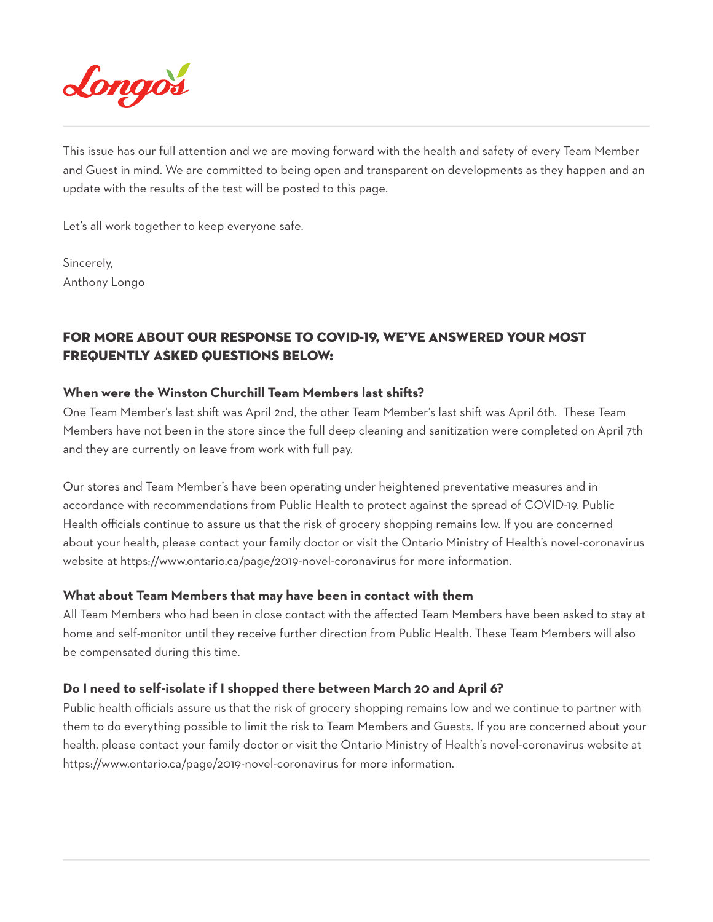

This issue has our full attention and we are moving forward with the health and safety of every Team Member and Guest in mind. We are committed to being open and transparent on developments as they happen and an update with the results of the test will be posted to this page.

Let's all work together to keep everyone safe.

Sincerely, Anthony Longo

# FOR MORE ABOUT OUR RESPONSE TO COVID-19, WE'VE ANSWERED YOUR MOST FREQUENTLY ASKED QUESTIONS BELOW:

### **When were the Winston Churchill Team Members last shifts?**

One Team Member's last shift was April 2nd, the other Team Member's last shift was April 6th. These Team Members have not been in the store since the full deep cleaning and sanitization were completed on April 7th and they are currently on leave from work with full pay.

Our stores and Team Member's have been operating under heightened preventative measures and in accordance with recommendations from Public Health to protect against the spread of COVID-19. Public Health officials continue to assure us that the risk of grocery shopping remains low. If you are concerned about your health, please contact your family doctor or visit the Ontario Ministry of Health's novel-coronavirus website at https://www.ontario.ca/page/2019-novel-coronavirus for more information.

### **What about Team Members that may have been in contact with them**

All Team Members who had been in close contact with the affected Team Members have been asked to stay at home and self-monitor until they receive further direction from Public Health. These Team Members will also be compensated during this time.

### **Do I need to self-isolate if I shopped there between March 20 and April 6?**

Public health officials assure us that the risk of grocery shopping remains low and we continue to partner with them to do everything possible to limit the risk to Team Members and Guests. If you are concerned about your health, please contact your family doctor or visit the Ontario Ministry of Health's novel-coronavirus website at https://www.ontario.ca/page/2019-novel-coronavirus for more information.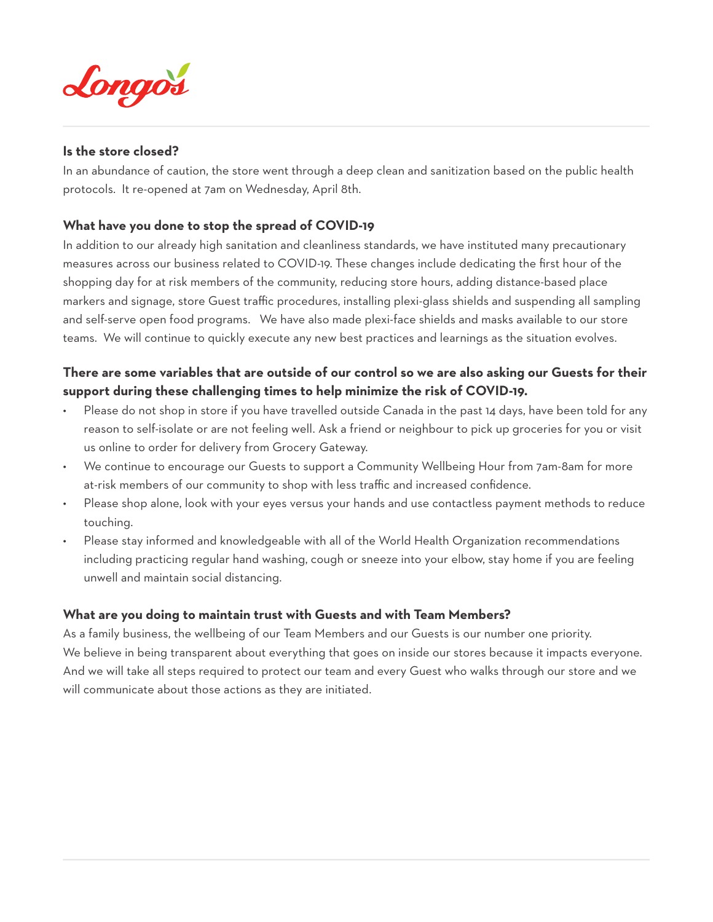

### **Is the store closed?**

In an abundance of caution, the store went through a deep clean and sanitization based on the public health protocols. It re-opened at 7am on Wednesday, April 8th.

### **What have you done to stop the spread of COVID-19**

In addition to our already high sanitation and cleanliness standards, we have instituted many precautionary measures across our business related to COVID-19. These changes include dedicating the first hour of the shopping day for at risk members of the community, reducing store hours, adding distance-based place markers and signage, store Guest traffic procedures, installing plexi-glass shields and suspending all sampling and self-serve open food programs. We have also made plexi-face shields and masks available to our store teams. We will continue to quickly execute any new best practices and learnings as the situation evolves.

# **There are some variables that are outside of our control so we are also asking our Guests for their support during these challenging times to help minimize the risk of COVID-19.**

- Please do not shop in store if you have travelled outside Canada in the past 14 days, have been told for any reason to self-isolate or are not feeling well. Ask a friend or neighbour to pick up groceries for you or visit us online to order for delivery from Grocery Gateway.
- We continue to encourage our Guests to support a Community Wellbeing Hour from 7am-8am for more at-risk members of our community to shop with less traffic and increased confidence.
- Please shop alone, look with your eyes versus your hands and use contactless payment methods to reduce touching.
- Please stay informed and knowledgeable with all of the World Health Organization recommendations including practicing regular hand washing, cough or sneeze into your elbow, stay home if you are feeling unwell and maintain social distancing.

### **What are you doing to maintain trust with Guests and with Team Members?**

As a family business, the wellbeing of our Team Members and our Guests is our number one priority. We believe in being transparent about everything that goes on inside our stores because it impacts everyone. And we will take all steps required to protect our team and every Guest who walks through our store and we will communicate about those actions as they are initiated.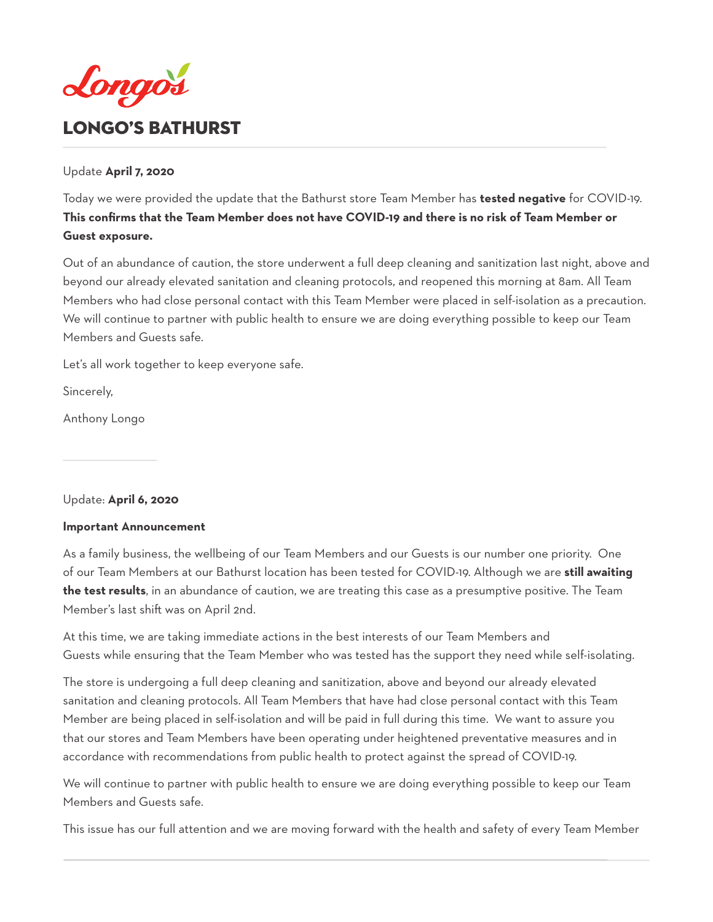<span id="page-21-0"></span>

### Update **April 7, 2020**

Today we were provided the update that the Bathurst store Team Member has **tested negative** for COVID-19. **This confirms that the Team Member does not have COVID-19 and there is no risk of Team Member or Guest exposure.**

Out of an abundance of caution, the store underwent a full deep cleaning and sanitization last night, above and beyond our already elevated sanitation and cleaning protocols, and reopened this morning at 8am. All Team Members who had close personal contact with this Team Member were placed in self-isolation as a precaution. We will continue to partner with public health to ensure we are doing everything possible to keep our Team Members and Guests safe.

Let's all work together to keep everyone safe.

Sincerely,

Anthony Longo

### Update: **April 6, 2020**

### **Important Announcement**

As a family business, the wellbeing of our Team Members and our Guests is our number one priority. One of our Team Members at our Bathurst location has been tested for COVID-19. Although we are **still awaiting the test results**, in an abundance of caution, we are treating this case as a presumptive positive. The Team Member's last shift was on April 2nd.

At this time, we are taking immediate actions in the best interests of our Team Members and Guests while ensuring that the Team Member who was tested has the support they need while self-isolating.

The store is undergoing a full deep cleaning and sanitization, above and beyond our already elevated sanitation and cleaning protocols. All Team Members that have had close personal contact with this Team Member are being placed in self-isolation and will be paid in full during this time. We want to assure you that our stores and Team Members have been operating under heightened preventative measures and in accordance with recommendations from public health to protect against the spread of COVID-19.

We will continue to partner with public health to ensure we are doing everything possible to keep our Team Members and Guests safe.

This issue has our full attention and we are moving forward with the health and safety of every Team Member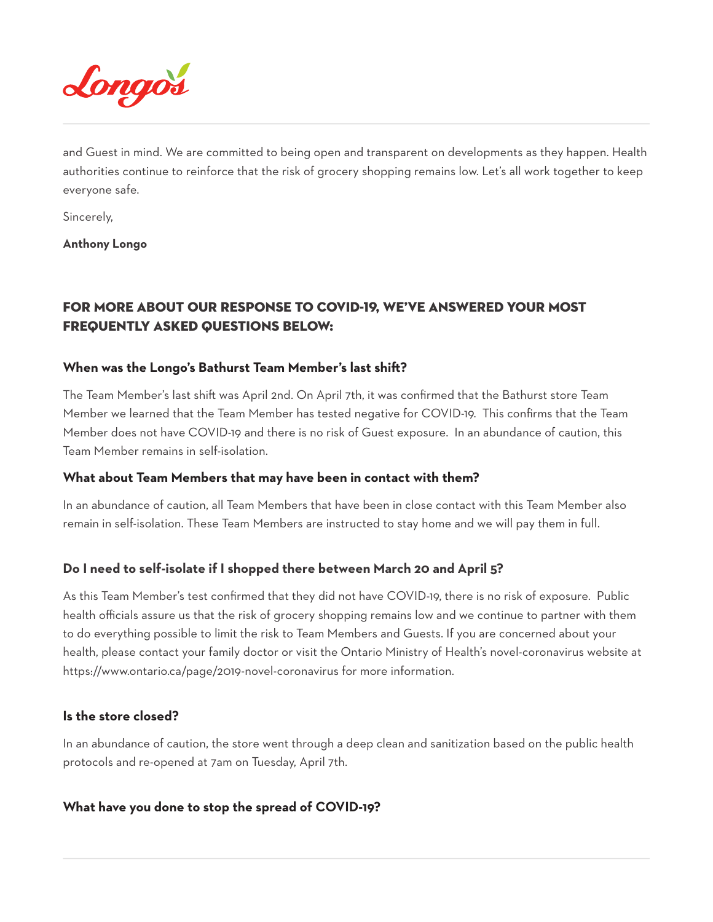

and Guest in mind. We are committed to being open and transparent on developments as they happen. Health authorities continue to reinforce that the risk of grocery shopping remains low. Let's all work together to keep everyone safe.

Sincerely,

**Anthony Longo**

# FOR MORE ABOUT OUR RESPONSE TO COVID-19, WE'VE ANSWERED YOUR MOST FREQUENTLY ASKED QUESTIONS BELOW:

### **When was the Longo's Bathurst Team Member's last shift?**

The Team Member's last shift was April 2nd. On April 7th, it was confirmed that the Bathurst store Team Member we learned that the Team Member has tested negative for COVID-19. This confirms that the Team Member does not have COVID-19 and there is no risk of Guest exposure. In an abundance of caution, this Team Member remains in self-isolation.

### **What about Team Members that may have been in contact with them?**

In an abundance of caution, all Team Members that have been in close contact with this Team Member also remain in self-isolation. These Team Members are instructed to stay home and we will pay them in full.

### **Do I need to self-isolate if I shopped there between March 20 and April 5?**

As this Team Member's test confirmed that they did not have COVID-19, there is no risk of exposure. Public health officials assure us that the risk of grocery shopping remains low and we continue to partner with them to do everything possible to limit the risk to Team Members and Guests. If you are concerned about your health, please contact your family doctor or visit the Ontario Ministry of Health's novel-coronavirus website at https://www.ontario.ca/page/2019-novel-coronavirus for more information.

### **Is the store closed?**

In an abundance of caution, the store went through a deep clean and sanitization based on the public health protocols and re-opened at 7am on Tuesday, April 7th.

### **What have you done to stop the spread of COVID-19?**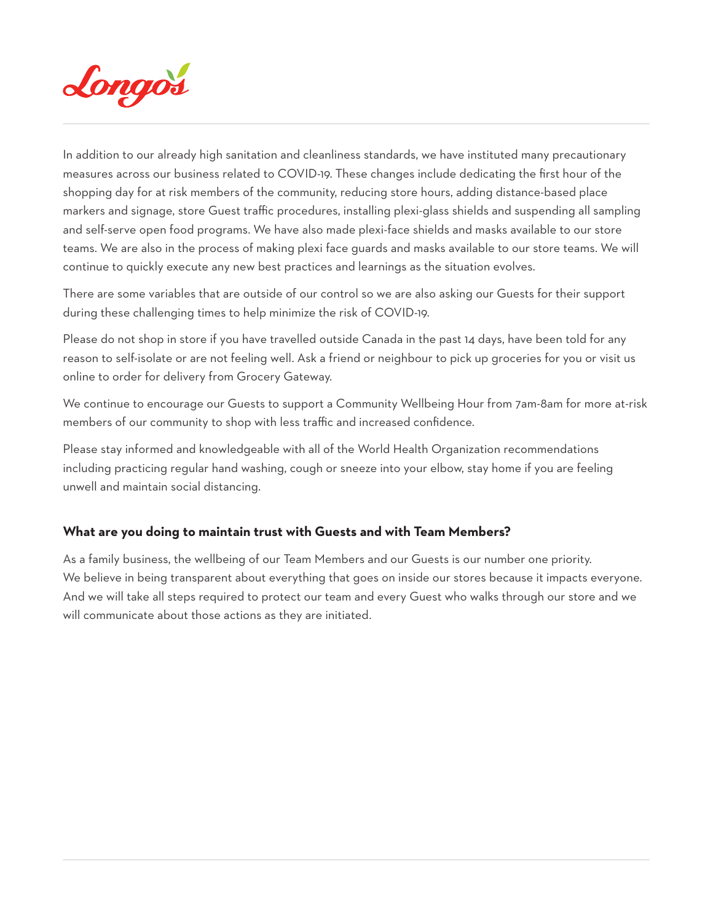

In addition to our already high sanitation and cleanliness standards, we have instituted many precautionary measures across our business related to COVID-19. These changes include dedicating the first hour of the shopping day for at risk members of the community, reducing store hours, adding distance-based place markers and signage, store Guest traffic procedures, installing plexi-glass shields and suspending all sampling and self-serve open food programs. We have also made plexi-face shields and masks available to our store teams. We are also in the process of making plexi face guards and masks available to our store teams. We will continue to quickly execute any new best practices and learnings as the situation evolves.

There are some variables that are outside of our control so we are also asking our Guests for their support during these challenging times to help minimize the risk of COVID-19.

Please do not shop in store if you have travelled outside Canada in the past 14 days, have been told for any reason to self-isolate or are not feeling well. Ask a friend or neighbour to pick up groceries for you or visit us online to order for delivery from Grocery Gateway.

We continue to encourage our Guests to support a Community Wellbeing Hour from 7am-8am for more at-risk members of our community to shop with less traffic and increased confidence.

Please stay informed and knowledgeable with all of the World Health Organization recommendations including practicing regular hand washing, cough or sneeze into your elbow, stay home if you are feeling unwell and maintain social distancing.

### **What are you doing to maintain trust with Guests and with Team Members?**

As a family business, the wellbeing of our Team Members and our Guests is our number one priority. We believe in being transparent about everything that goes on inside our stores because it impacts everyone. And we will take all steps required to protect our team and every Guest who walks through our store and we will communicate about those actions as they are initiated.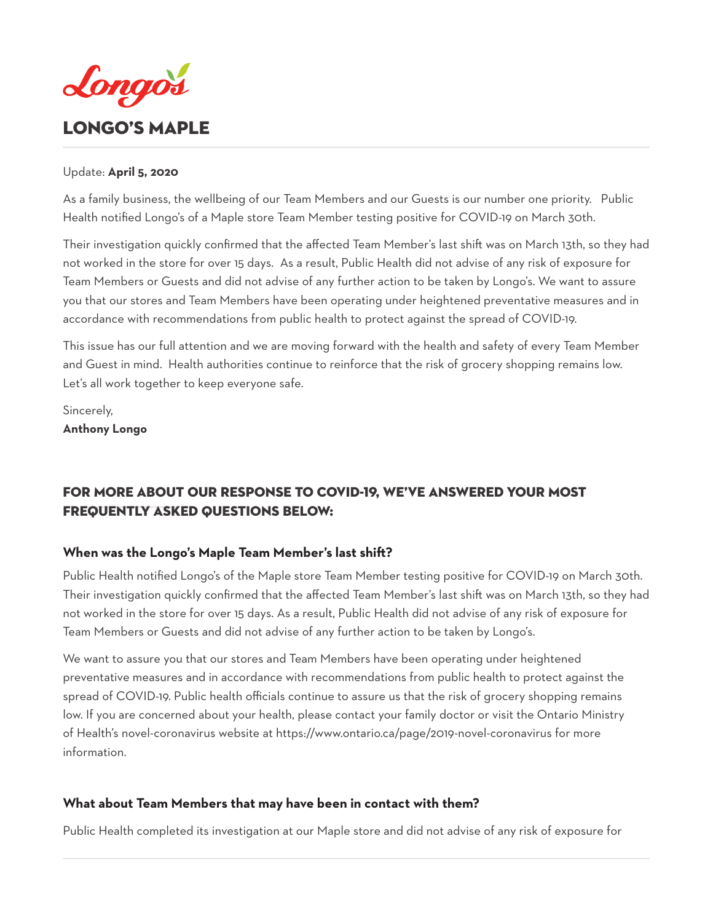<span id="page-24-0"></span>

### Update: **April 5, 2020**

As a family business, the wellbeing of our Team Members and our Guests is our number one priority. Public Health notified Longo's of a Maple store Team Member testing positive for COVID-19 on March 30th.

Their investigation quickly confirmed that the affected Team Member's last shift was on March 13th, so they had not worked in the store for over 15 days. As a result, Public Health did not advise of any risk of exposure for Team Members or Guests and did not advise of any further action to be taken by Longo's. We want to assure you that our stores and Team Members have been operating under heightened preventative measures and in accordance with recommendations from public health to protect against the spread of COVID-19.

This issue has our full attention and we are moving forward with the health and safety of every Team Member and Guest in mind. Health authorities continue to reinforce that the risk of grocery shopping remains low. Let's all work together to keep everyone safe.

Sincerely, **Anthony Longo**

# FOR MORE ABOUT OUR RESPONSE TO COVID-19, WE'VE ANSWERED YOUR MOST FREQUENTLY ASKED QUESTIONS BELOW:

### **When was the Longo's Maple Team Member's last shift?**

Public Health notified Longo's of the Maple store Team Member testing positive for COVID-19 on March 30th. Their investigation quickly confirmed that the affected Team Member's last shift was on March 13th, so they had not worked in the store for over 15 days. As a result, Public Health did not advise of any risk of exposure for Team Members or Guests and did not advise of any further action to be taken by Longo's.

We want to assure you that our stores and Team Members have been operating under heightened preventative measures and in accordance with recommendations from public health to protect against the spread of COVID-19. Public health officials continue to assure us that the risk of grocery shopping remains low. If you are concerned about your health, please contact your family doctor or visit the Ontario Ministry of Health's novel-coronavirus website at https://www.ontario.ca/page/2019-novel-coronavirus for more information.

### **What about Team Members that may have been in contact with them?**

Public Health completed its investigation at our Maple store and did not advise of any risk of exposure for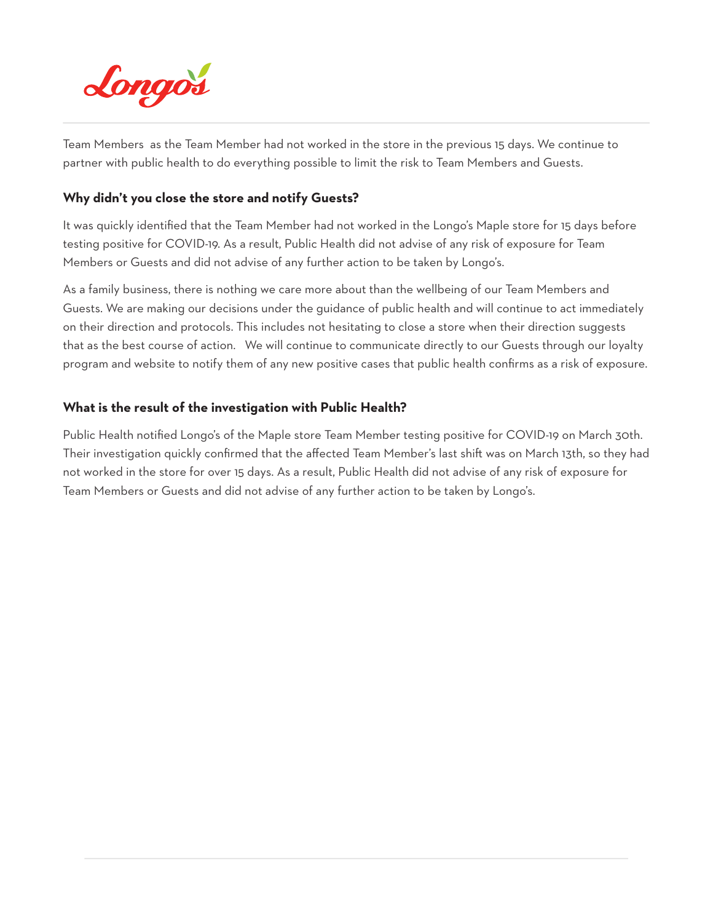

Team Members as the Team Member had not worked in the store in the previous 15 days. We continue to partner with public health to do everything possible to limit the risk to Team Members and Guests.

### **Why didn't you close the store and notify Guests?**

It was quickly identified that the Team Member had not worked in the Longo's Maple store for 15 days before testing positive for COVID-19. As a result, Public Health did not advise of any risk of exposure for Team Members or Guests and did not advise of any further action to be taken by Longo's.

As a family business, there is nothing we care more about than the wellbeing of our Team Members and Guests. We are making our decisions under the guidance of public health and will continue to act immediately on their direction and protocols. This includes not hesitating to close a store when their direction suggests that as the best course of action. We will continue to communicate directly to our Guests through our loyalty program and website to notify them of any new positive cases that public health confirms as a risk of exposure.

### **What is the result of the investigation with Public Health?**

Public Health notified Longo's of the Maple store Team Member testing positive for COVID-19 on March 30th. Their investigation quickly confirmed that the affected Team Member's last shift was on March 13th, so they had not worked in the store for over 15 days. As a result, Public Health did not advise of any risk of exposure for Team Members or Guests and did not advise of any further action to be taken by Longo's.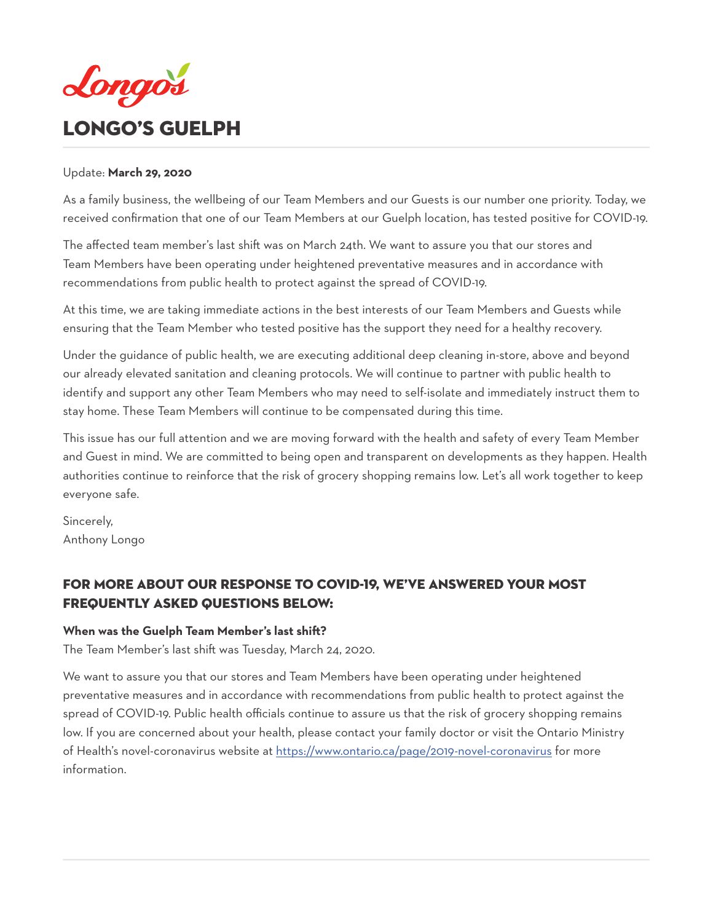<span id="page-26-0"></span>

### Update: **March 29, 2020**

As a family business, the wellbeing of our Team Members and our Guests is our number one priority. Today, we received confirmation that one of our Team Members at our Guelph location, has tested positive for COVID-19.

The affected team member's last shift was on March 24th. We want to assure you that our stores and Team Members have been operating under heightened preventative measures and in accordance with recommendations from public health to protect against the spread of COVID-19.

At this time, we are taking immediate actions in the best interests of our Team Members and Guests while ensuring that the Team Member who tested positive has the support they need for a healthy recovery.

Under the guidance of public health, we are executing additional deep cleaning in-store, above and beyond our already elevated sanitation and cleaning protocols. We will continue to partner with public health to identify and support any other Team Members who may need to self-isolate and immediately instruct them to stay home. These Team Members will continue to be compensated during this time.

This issue has our full attention and we are moving forward with the health and safety of every Team Member and Guest in mind. We are committed to being open and transparent on developments as they happen. Health authorities continue to reinforce that the risk of grocery shopping remains low. Let's all work together to keep everyone safe.

Sincerely, Anthony Longo

# For more about our response to COVID-19, we've answered your most Frequently Asked Questions below:

### **When was the Guelph Team Member's last shift?**

The Team Member's last shift was Tuesday, March 24, 2020.

We want to assure you that our stores and Team Members have been operating under heightened preventative measures and in accordance with recommendations from public health to protect against the spread of COVID-19. Public health officials continue to assure us that the risk of grocery shopping remains low. If you are concerned about your health, please contact your family doctor or visit the Ontario Ministry of Health's novel-coronavirus website at https://www.ontario.ca/page/2019-novel-coronavirus for more information.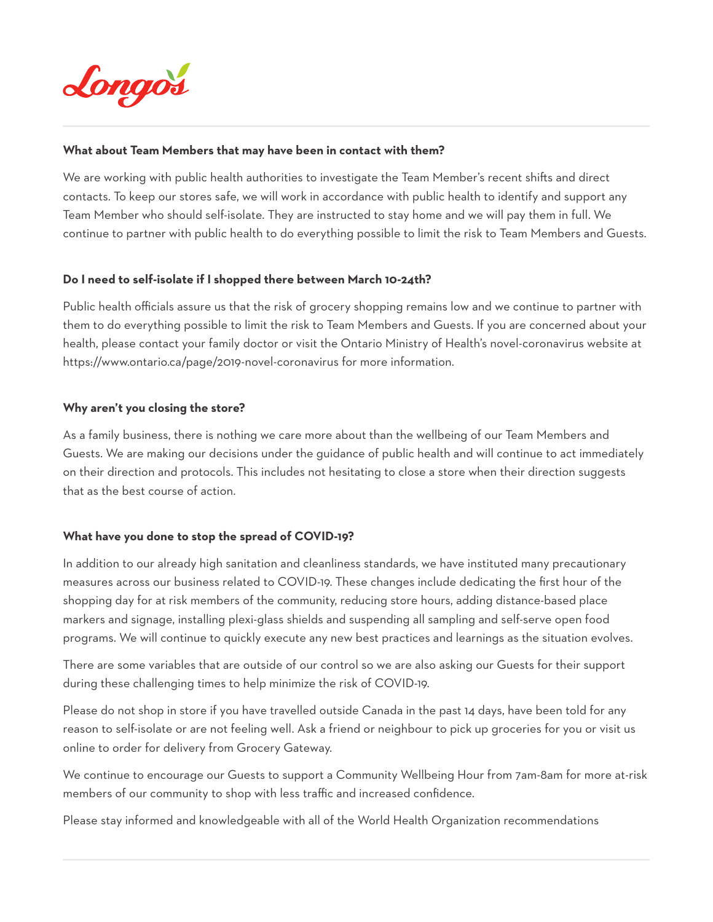

### **What about Team Members that may have been in contact with them?**

We are working with public health authorities to investigate the Team Member's recent shifts and direct contacts. To keep our stores safe, we will work in accordance with public health to identify and support any Team Member who should self-isolate. They are instructed to stay home and we will pay them in full. We continue to partner with public health to do everything possible to limit the risk to Team Members and Guests.

### **Do I need to self-isolate if I shopped there between March 10-24th?**

Public health officials assure us that the risk of grocery shopping remains low and we continue to partner with them to do everything possible to limit the risk to Team Members and Guests. If you are concerned about your health, please contact your family doctor or visit the Ontario Ministry of Health's novel-coronavirus website at https://www.ontario.ca/page/2019-novel-coronavirus for more information.

### **Why aren't you closing the store?**

As a family business, there is nothing we care more about than the wellbeing of our Team Members and Guests. We are making our decisions under the guidance of public health and will continue to act immediately on their direction and protocols. This includes not hesitating to close a store when their direction suggests that as the best course of action.

### **What have you done to stop the spread of COVID-19?**

In addition to our already high sanitation and cleanliness standards, we have instituted many precautionary measures across our business related to COVID-19. These changes include dedicating the first hour of the shopping day for at risk members of the community, reducing store hours, adding distance-based place markers and signage, installing plexi-glass shields and suspending all sampling and self-serve open food programs. We will continue to quickly execute any new best practices and learnings as the situation evolves.

There are some variables that are outside of our control so we are also asking our Guests for their support during these challenging times to help minimize the risk of COVID-19.

Please do not shop in store if you have travelled outside Canada in the past 14 days, have been told for any reason to self-isolate or are not feeling well. Ask a friend or neighbour to pick up groceries for you or visit us online to order for delivery from Grocery Gateway.

We continue to encourage our Guests to support a Community Wellbeing Hour from 7am-8am for more at-risk members of our community to shop with less traffic and increased confidence.

Please stay informed and knowledgeable with all of the World Health Organization recommendations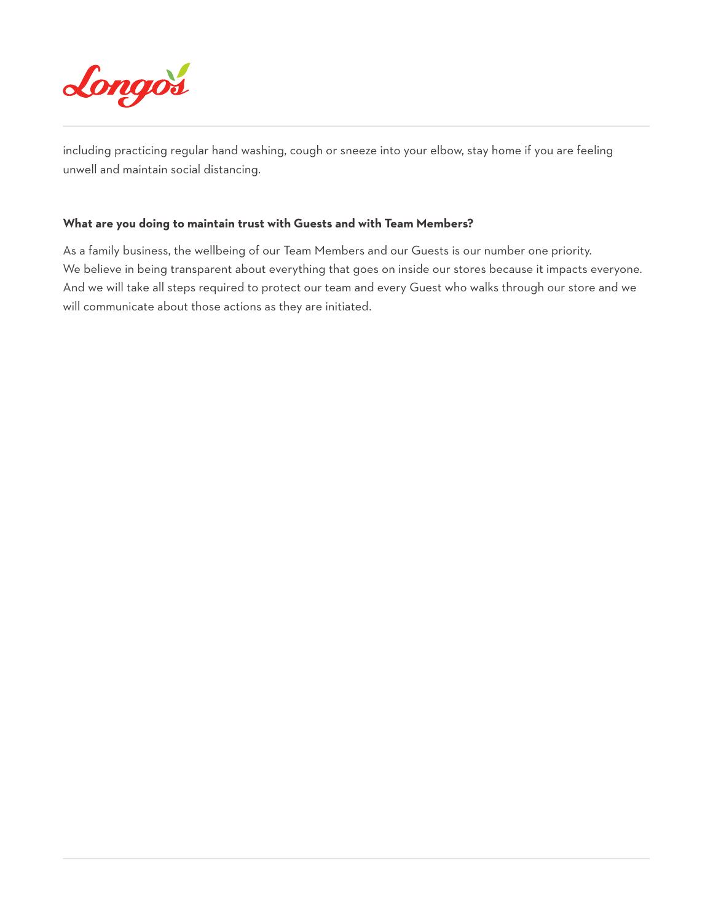

including practicing regular hand washing, cough or sneeze into your elbow, stay home if you are feeling unwell and maintain social distancing.

### **What are you doing to maintain trust with Guests and with Team Members?**

As a family business, the wellbeing of our Team Members and our Guests is our number one priority. We believe in being transparent about everything that goes on inside our stores because it impacts everyone. And we will take all steps required to protect our team and every Guest who walks through our store and we will communicate about those actions as they are initiated.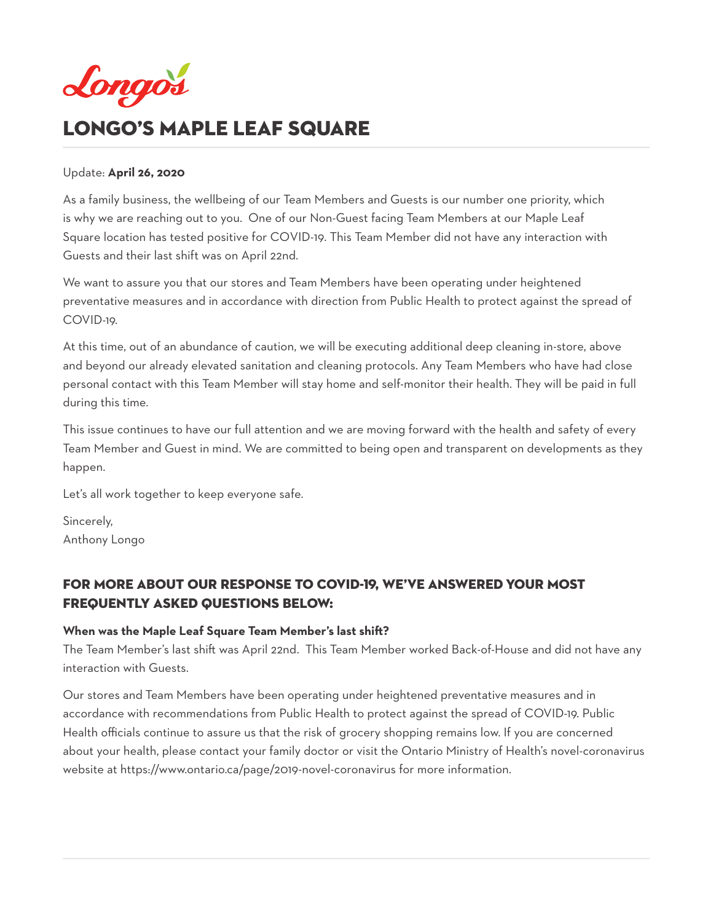<span id="page-29-0"></span>

# LONGO'S Maple Leaf SQuare

### Update: **April 26, 2020**

As a family business, the wellbeing of our Team Members and Guests is our number one priority, which is why we are reaching out to you. One of our Non-Guest facing Team Members at our Maple Leaf Square location has tested positive for COVID-19. This Team Member did not have any interaction with Guests and their last shift was on April 22nd.

We want to assure you that our stores and Team Members have been operating under heightened preventative measures and in accordance with direction from Public Health to protect against the spread of COVID-19.

At this time, out of an abundance of caution, we will be executing additional deep cleaning in-store, above and beyond our already elevated sanitation and cleaning protocols. Any Team Members who have had close personal contact with this Team Member will stay home and self-monitor their health. They will be paid in full during this time.

This issue continues to have our full attention and we are moving forward with the health and safety of every Team Member and Guest in mind. We are committed to being open and transparent on developments as they happen.

Let's all work together to keep everyone safe.

Sincerely, Anthony Longo

# For more about our response to COVID-19, we've answered your most Frequently Asked Questions below:

### **When was the Maple Leaf Square Team Member's last shift?**

The Team Member's last shift was April 22nd. This Team Member worked Back-of-House and did not have any interaction with Guests.

Our stores and Team Members have been operating under heightened preventative measures and in accordance with recommendations from Public Health to protect against the spread of COVID-19. Public Health officials continue to assure us that the risk of grocery shopping remains low. If you are concerned about your health, please contact your family doctor or visit the Ontario Ministry of Health's novel-coronavirus website at https://www.ontario.ca/page/2019-novel-coronavirus for more information.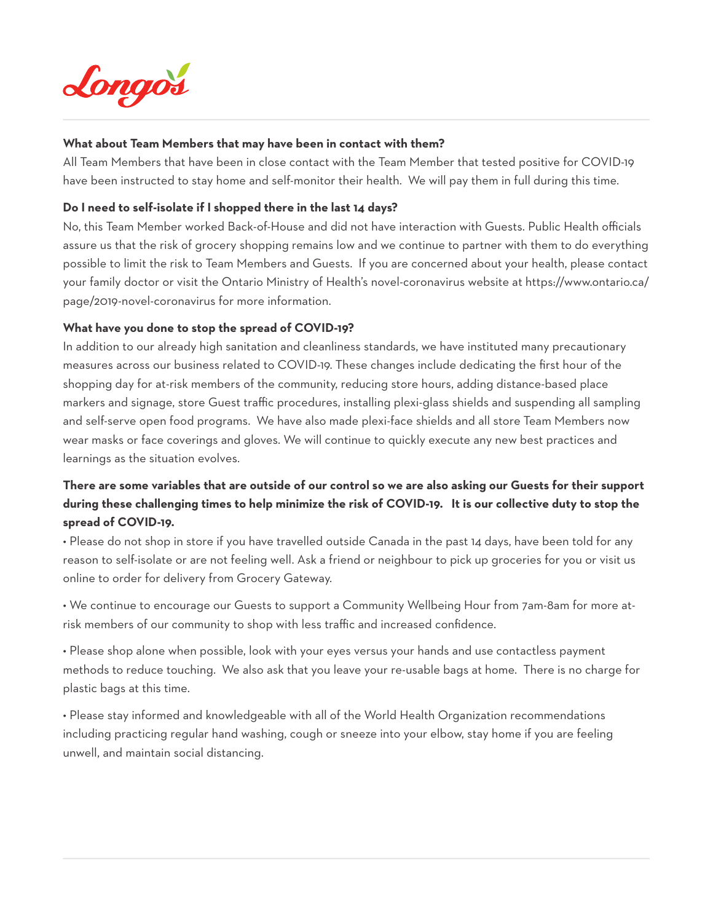

### **What about Team Members that may have been in contact with them?**

All Team Members that have been in close contact with the Team Member that tested positive for COVID-19 have been instructed to stay home and self-monitor their health. We will pay them in full during this time.

### **Do I need to self-isolate if I shopped there in the last 14 days?**

No, this Team Member worked Back-of-House and did not have interaction with Guests. Public Health officials assure us that the risk of grocery shopping remains low and we continue to partner with them to do everything possible to limit the risk to Team Members and Guests. If you are concerned about your health, please contact your family doctor or visit the Ontario Ministry of Health's novel-coronavirus website at https://www.ontario.ca/ page/2019-novel-coronavirus for more information.

### **What have you done to stop the spread of COVID-19?**

In addition to our already high sanitation and cleanliness standards, we have instituted many precautionary measures across our business related to COVID-19. These changes include dedicating the first hour of the shopping day for at-risk members of the community, reducing store hours, adding distance-based place markers and signage, store Guest traffic procedures, installing plexi-glass shields and suspending all sampling and self-serve open food programs. We have also made plexi-face shields and all store Team Members now wear masks or face coverings and gloves. We will continue to quickly execute any new best practices and learnings as the situation evolves.

# **There are some variables that are outside of our control so we are also asking our Guests for their support during these challenging times to help minimize the risk of COVID-19. It is our collective duty to stop the spread of COVID-19.**

• Please do not shop in store if you have travelled outside Canada in the past 14 days, have been told for any reason to self-isolate or are not feeling well. Ask a friend or neighbour to pick up groceries for you or visit us online to order for delivery from Grocery Gateway.

• We continue to encourage our Guests to support a Community Wellbeing Hour from 7am-8am for more atrisk members of our community to shop with less traffic and increased confidence.

• Please shop alone when possible, look with your eyes versus your hands and use contactless payment methods to reduce touching. We also ask that you leave your re-usable bags at home. There is no charge for plastic bags at this time.

• Please stay informed and knowledgeable with all of the World Health Organization recommendations including practicing regular hand washing, cough or sneeze into your elbow, stay home if you are feeling unwell, and maintain social distancing.